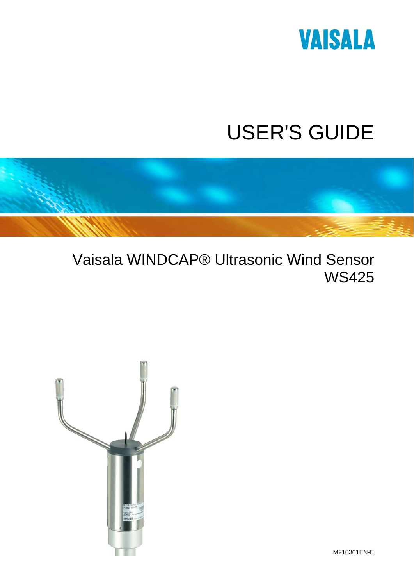

# USER'S GUIDE



# Vaisala WINDCAP® Ultrasonic Wind Sensor WS425



M210361EN-E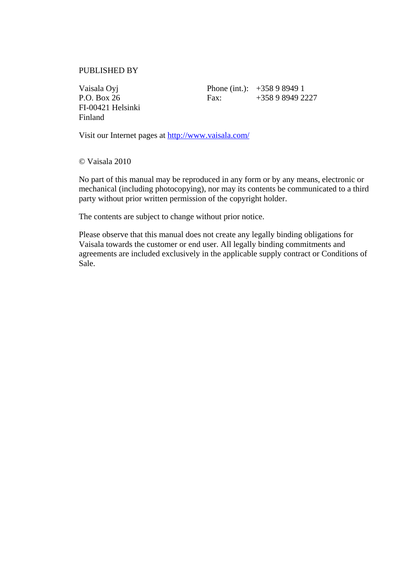#### PUBLISHED BY

FI-00421 Helsinki Finland

Vaisala Oyj Phone (int.): +358 9 8949 1 P.O. Box 26 Fax: +358 9 8949 2227

Visit our Internet pages at<http://www.vaisala.com/>

© Vaisala 2010

No part of this manual may be reproduced in any form or by any means, electronic or mechanical (including photocopying), nor may its contents be communicated to a third party without prior written permission of the copyright holder.

The contents are subject to change without prior notice.

Please observe that this manual does not create any legally binding obligations for Vaisala towards the customer or end user. All legally binding commitments and agreements are included exclusively in the applicable supply contract or Conditions of Sale.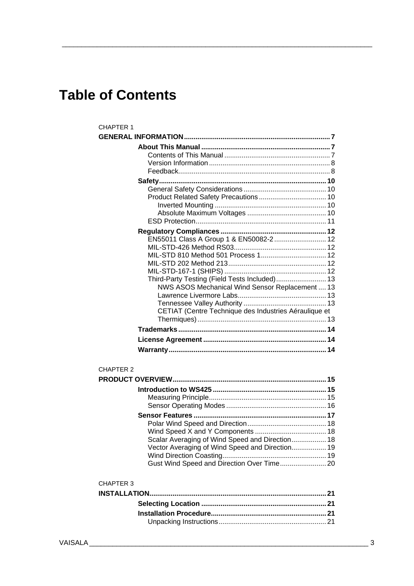# **Table of Contents**

#### CHAPTER 1

| EN55011 Class A Group 1 & EN50082-2 12                |
|-------------------------------------------------------|
| MIL-STD 810 Method 501 Process 1 12                   |
|                                                       |
|                                                       |
| Third-Party Testing (Field Tests Included) 13         |
| NWS ASOS Mechanical Wind Sensor Replacement  13       |
|                                                       |
|                                                       |
| CETIAT (Centre Technique des Industries Aéraulique et |
|                                                       |
|                                                       |
|                                                       |
|                                                       |

\_\_\_\_\_\_\_\_\_\_\_\_\_\_\_\_\_\_\_\_\_\_\_\_\_\_\_\_\_\_\_\_\_\_\_\_\_\_\_\_\_\_\_\_\_\_\_\_\_\_\_\_\_\_\_\_\_\_\_\_\_\_\_\_\_\_\_\_\_\_\_\_\_\_\_\_\_\_\_\_

#### CHAPTER 2

| Scalar Averaging of Wind Speed and Direction 18 |  |
|-------------------------------------------------|--|
| Vector Averaging of Wind Speed and Direction 19 |  |
|                                                 |  |
|                                                 |  |
|                                                 |  |

#### CHAPTER 3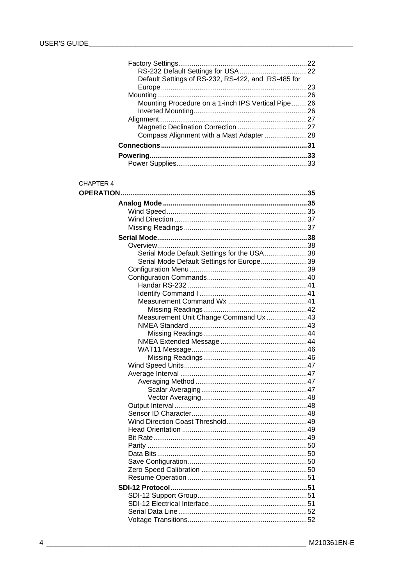|                                                    | 22 |
|----------------------------------------------------|----|
|                                                    |    |
| Default Settings of RS-232, RS-422, and RS-485 for |    |
|                                                    | 23 |
|                                                    | 26 |
| Mounting Procedure on a 1-inch IPS Vertical Pipe26 |    |
|                                                    |    |
|                                                    |    |
|                                                    |    |
|                                                    |    |
|                                                    | 31 |
|                                                    | 33 |
|                                                    | 33 |

#### CHAPTER 4

| Serial Mode Default Settings for the USA38 |
|--------------------------------------------|
| Serial Mode Default Settings for Europe39  |
|                                            |
|                                            |
|                                            |
|                                            |
|                                            |
|                                            |
| Measurement Unit Change Command Ux 43      |
|                                            |
|                                            |
|                                            |
|                                            |
|                                            |
|                                            |
|                                            |
|                                            |
|                                            |
|                                            |
|                                            |
|                                            |
|                                            |
|                                            |
|                                            |
|                                            |
|                                            |
|                                            |
|                                            |
|                                            |
|                                            |
|                                            |
|                                            |
|                                            |
|                                            |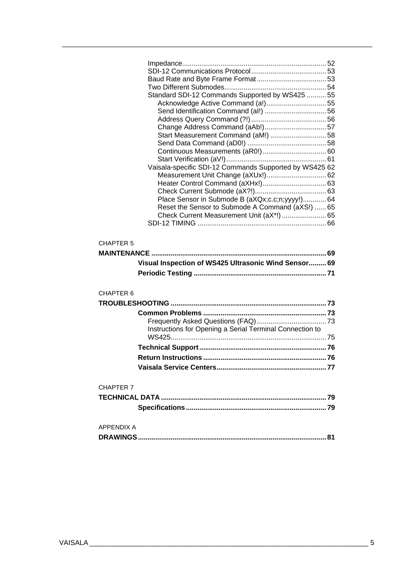|                   | Standard SDI-12 Commands Supported by WS425  55          |  |
|-------------------|----------------------------------------------------------|--|
|                   | Acknowledge Active Command (a!) 55                       |  |
|                   |                                                          |  |
|                   |                                                          |  |
|                   |                                                          |  |
|                   | Start Measurement Command (aM!)  58                      |  |
|                   |                                                          |  |
|                   |                                                          |  |
|                   | Vaisala-specific SDI-12 Commands Supported by WS425 62   |  |
|                   |                                                          |  |
|                   |                                                          |  |
|                   |                                                          |  |
|                   | Place Sensor in Submode B (aXQx;c.c;n;yyyy!) 64          |  |
|                   | Reset the Sensor to Submode A Command (aXS!)  65         |  |
|                   | Check Current Measurement Unit (aX*!)  65                |  |
|                   |                                                          |  |
|                   |                                                          |  |
|                   | Visual Inspection of WS425 Ultrasonic Wind Sensor 69     |  |
| <b>CHAPTER 6</b>  |                                                          |  |
|                   |                                                          |  |
|                   |                                                          |  |
|                   | Instructions for Opening a Serial Terminal Connection to |  |
|                   |                                                          |  |
|                   |                                                          |  |
|                   |                                                          |  |
|                   |                                                          |  |
|                   |                                                          |  |
| <b>CHAPTER 7</b>  |                                                          |  |
|                   |                                                          |  |
|                   |                                                          |  |
| <b>APPENDIX A</b> |                                                          |  |
|                   |                                                          |  |

\_\_\_\_\_\_\_\_\_\_\_\_\_\_\_\_\_\_\_\_\_\_\_\_\_\_\_\_\_\_\_\_\_\_\_\_\_\_\_\_\_\_\_\_\_\_\_\_\_\_\_\_\_\_\_\_\_\_\_\_\_\_\_\_\_\_\_\_\_\_\_\_\_\_\_\_\_\_\_\_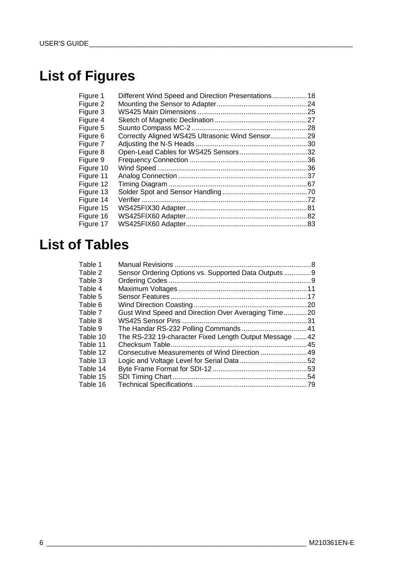# **List of Figures**

| Figure 1  | Different Wind Speed and Direction Presentations 18 |  |
|-----------|-----------------------------------------------------|--|
| Figure 2  |                                                     |  |
| Figure 3  |                                                     |  |
| Figure 4  |                                                     |  |
| Figure 5  |                                                     |  |
| Figure 6  | Correctly Aligned WS425 Ultrasonic Wind Sensor      |  |
| Figure 7  |                                                     |  |
| Figure 8  |                                                     |  |
| Figure 9  |                                                     |  |
| Figure 10 |                                                     |  |
| Figure 11 |                                                     |  |
| Figure 12 |                                                     |  |
| Figure 13 |                                                     |  |
| Figure 14 |                                                     |  |
| Figure 15 |                                                     |  |
| Figure 16 |                                                     |  |
| Figure 17 |                                                     |  |
|           |                                                     |  |

# **List of Tables**

| Table 1  |                                                        |  |
|----------|--------------------------------------------------------|--|
| Table 2  | Sensor Ordering Options vs. Supported Data Outputs9    |  |
| Table 3  |                                                        |  |
| Table 4  |                                                        |  |
| Table 5  |                                                        |  |
| Table 6  |                                                        |  |
| Table 7  | Gust Wind Speed and Direction Over Averaging Time20    |  |
| Table 8  |                                                        |  |
| Table 9  |                                                        |  |
| Table 10 | The RS-232 19-character Fixed Length Output Message 42 |  |
| Table 11 |                                                        |  |
| Table 12 |                                                        |  |
| Table 13 |                                                        |  |
| Table 14 |                                                        |  |
| Table 15 |                                                        |  |
| Table 16 |                                                        |  |
|          |                                                        |  |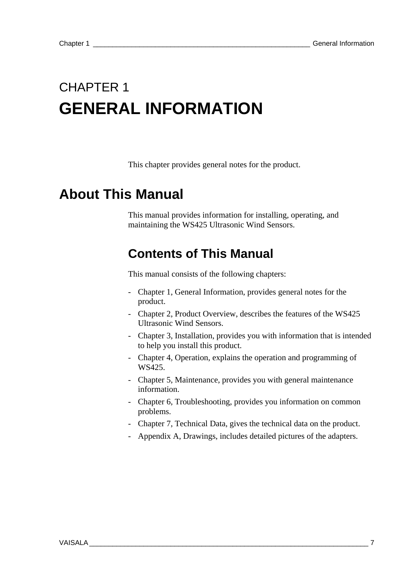# <span id="page-6-3"></span><span id="page-6-0"></span>CHAPTER 1 **GENERAL INFORMATION**

This chapter provides general notes for the product.

## <span id="page-6-4"></span><span id="page-6-2"></span><span id="page-6-1"></span>**About This Manual**

This manual provides information for installing, operating, and maintaining the WS425 Ultrasonic Wind Sensors.

### **Contents of This Manual**

This manual consists of the following chapters:

- [Chapter 1,](#page-6-3) [General Information,](#page-6-0) [provides general notes for the](#page-6-4)  [product.](#page-6-4)
- [Chapter 2,](#page-14-3) [Product Overview](#page-14-0), [describes the features of the WS425](#page-14-4)  [Ultrasonic Wind Sensors.](#page-14-4)
- [Chapter 3,](#page-20-4) [Installation,](#page-20-0) [provides you with information that is intended](#page-20-5)  [to help you install this product.](#page-20-5)
- [Chapter 4,](#page-34-3) [Operation,](#page-34-0) [explains the operation and programming of](#page-34-4)  [WS425.](#page-34-4)
- [Chapter 5,](#page-68-2) [Maintenance,](#page-68-0) [provides you with general maintenance](#page-68-3)  [information.](#page-68-3)
- [Chapter 6,](#page-72-3) [Troubleshooting,](#page-72-0) [provides you information on common](#page-72-4)  [problems.](#page-72-4)
- [Chapter 7,](#page-78-3) [Technical Data,](#page-78-0) [gives the technical data on the product.](#page-78-4)
- [Appendix A,](#page-80-2) [Drawings](#page-80-0), includes detailed pictures of the adapters.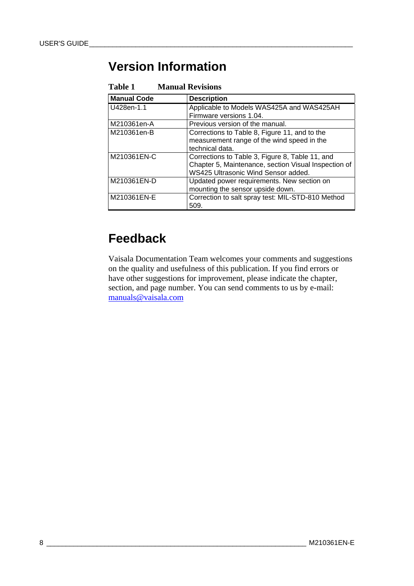### <span id="page-7-0"></span>**Version Information**

| Manual Revisions                                     |
|------------------------------------------------------|
| <b>Description</b>                                   |
| Applicable to Models WAS425A and WAS425AH            |
| Firmware versions 1.04.                              |
| Previous version of the manual.                      |
| Corrections to Table 8, Figure 11, and to the        |
| measurement range of the wind speed in the           |
| technical data.                                      |
| Corrections to Table 3, Figure 8, Table 11, and      |
| Chapter 5, Maintenance, section Visual Inspection of |
| WS425 Ultrasonic Wind Sensor added.                  |
| Updated power requirements. New section on           |
| mounting the sensor upside down.                     |
| Correction to salt spray test: MIL-STD-810 Method    |
| 509.                                                 |
|                                                      |

#### <span id="page-7-2"></span>**Table 1** Manual **Revision**

### <span id="page-7-1"></span>**Feedback**

Vaisala Documentation Team welcomes your comments and suggestions on the quality and usefulness of this publication. If you find errors or have other suggestions for improvement, please indicate the chapter, section, and page number. You can send comments to us by e-mail: [manuals@vaisala.com](mailto:manuals@vaisala.com)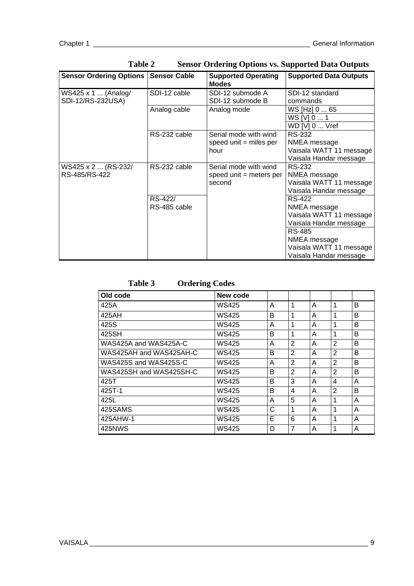<span id="page-8-0"></span>

| <b>Sensor Ordering Options</b> | <b>Sensor Cable</b> | <b>Supported Operating</b><br><b>Modes</b> | <b>Supported Data Outputs</b> |
|--------------------------------|---------------------|--------------------------------------------|-------------------------------|
| WS425 x 1  (Analog/            | SDI-12 cable        | SDI-12 submode A                           | SDI-12 standard               |
| SDI-12/RS-232USA)              |                     | SDI-12 submode B                           | commands                      |
|                                | Analog cable        | Analog mode                                | WS [Hz] 0  65                 |
|                                |                     |                                            | WS [V] 0  1                   |
|                                |                     |                                            | WD [V] 0  Vref                |
|                                | RS-232 cable        | Serial mode with wind                      | RS-232                        |
|                                |                     | speed unit $=$ miles per                   | NMEA message                  |
|                                |                     | hour                                       | Vaisala WATT 11 message       |
|                                |                     |                                            | Vaisala Handar message        |
| WS425 x 2  (RS-232/            | RS-232 cable        | Serial mode with wind                      | RS-232                        |
| RS-485/RS-422                  |                     | speed unit = meters per                    | NMEA message                  |
|                                |                     | second                                     | Vaisala WATT 11 message       |
|                                |                     |                                            | Vaisala Handar message        |
|                                | RS-422/             |                                            | RS-422                        |
|                                | RS-485 cable        |                                            | NMEA message                  |
|                                |                     |                                            | Vaisala WATT 11 message       |
|                                |                     |                                            | Vaisala Handar message        |
|                                |                     |                                            | RS-485                        |
|                                |                     |                                            | NMEA message                  |
|                                |                     |                                            | Vaisala WATT 11 message       |
|                                |                     |                                            | Vaisala Handar message        |

**Table 2 Sensor Ordering Options vs. Supported Data Outputs** 

#### **Table 3 Ordering Codes**

<span id="page-8-1"></span>

| Old code                | New code     |   |                |   |   |   |
|-------------------------|--------------|---|----------------|---|---|---|
| 425A                    | <b>WS425</b> | A | 1              | A | 1 | B |
| 425AH                   | WS425        | B | 1              | A | 1 | B |
| 425S                    | WS425        | A | 1              | A | 1 | B |
| 425SH                   | WS425        | B | 1              | A | 1 | B |
| WAS425A and WAS425A-C   | WS425        | A | $\overline{2}$ | A | 2 | B |
| WAS425AH and WAS425AH-C | WS425        | B | 2              | A | 2 | B |
| WAS425S and WAS425S-C   | WS425        | A | $\overline{2}$ | A | 2 | B |
| WAS425SH and WAS425SH-C | WS425        | B | 2              | A | 2 | B |
| 425T                    | WS425        | B | 3              | A | 4 | A |
| 425T-1                  | WS425        | B | 4              | A | 2 | B |
| 425L                    | WS425        | A | 5              | A | 1 | A |
| 425SAMS                 | WS425        | C | 1              | A | 1 | A |
| 425AHW-1                | WS425        | Е | 6              | A | 1 | A |
| 425NWS                  | <b>WS425</b> | D | $\overline{7}$ | A | 1 | A |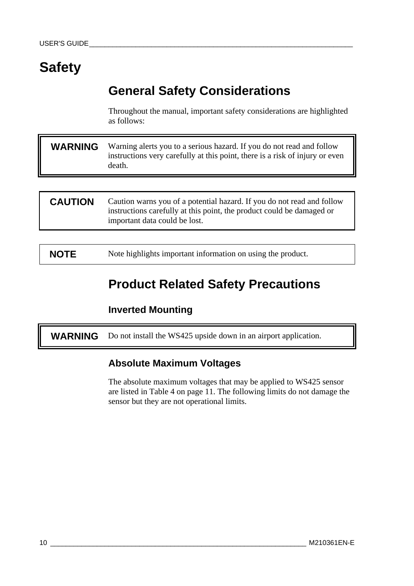# <span id="page-9-1"></span><span id="page-9-0"></span>**Safety**

### **General Safety Considerations**

Throughout the manual, important safety considerations are highlighted as follows:

| <b>WARNING</b> | Warning alerts you to a serious hazard. If you do not read and follow<br>instructions very carefully at this point, there is a risk of injury or even<br>death. |
|----------------|-----------------------------------------------------------------------------------------------------------------------------------------------------------------|
|                |                                                                                                                                                                 |

| <b>CAUTION</b> | Caution warns you of a potential hazard. If you do not read and follow |
|----------------|------------------------------------------------------------------------|
|                | instructions carefully at this point, the product could be damaged or  |
|                | important data could be lost.                                          |

<span id="page-9-2"></span>**NOTE** Note highlights important information on using the product.

### **Product Related Safety Precautions**

#### **Inverted Mounting**

<span id="page-9-4"></span><span id="page-9-3"></span>**WARNING** Do not install the WS425 upside down in an airport application.

#### **Absolute Maximum Voltages**

The absolute maximum voltages that may be applied to WS425 sensor are listed in [Table 4 on pag](#page-10-1)e 11. The following limits do not damage the sensor but they are not operational limits.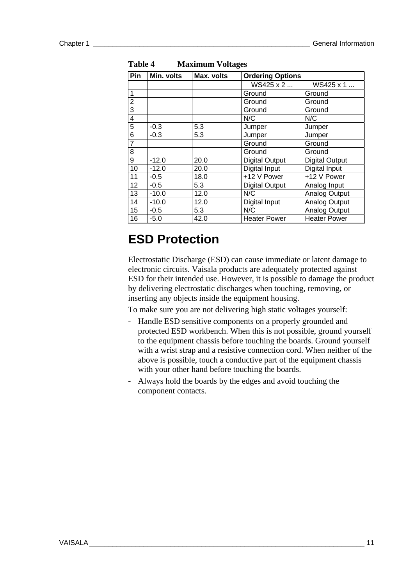<span id="page-10-1"></span>

| Pin            | Min. volts | Max. volts | <b>Ordering Options</b> |                       |  |  |
|----------------|------------|------------|-------------------------|-----------------------|--|--|
|                |            |            | WS425 x 2               | WS425 x 1             |  |  |
| 1              |            |            | Ground                  | Ground                |  |  |
| $\overline{2}$ |            |            | Ground                  | Ground                |  |  |
| 3              |            |            | Ground                  | Ground                |  |  |
| 4              |            |            | N/C                     | N/C                   |  |  |
| 5              | $-0.3$     | 5.3        | Jumper                  | Jumper                |  |  |
| 6              | $-0.3$     | 5.3        | Jumper                  | Jumper                |  |  |
| 7              |            |            | Ground                  | Ground                |  |  |
| 8              |            |            | Ground                  | Ground                |  |  |
| 9              | $-12.0$    | 20.0       | <b>Digital Output</b>   | <b>Digital Output</b> |  |  |
| 10             | $-12.0$    | 20.0       | Digital Input           | Digital Input         |  |  |
| 11             | $-0.5$     | 18.0       | $+12$ V Power           | $+12$ V Power         |  |  |
| 12             | $-0.5$     | 5.3        | <b>Digital Output</b>   | Analog Input          |  |  |
| 13             | $-10.0$    | 12.0       | N/C                     | Analog Output         |  |  |
| 14             | $-10.0$    | 12.0       | Digital Input           | Analog Output         |  |  |
| 15             | $-0.5$     | 5.3        | N/C                     | Analog Output         |  |  |
| 16             | $-5.0$     | 42.0       | <b>Heater Power</b>     | <b>Heater Power</b>   |  |  |

**Table 4 Maximum Voltages** 

#### <span id="page-10-0"></span>**ESD Protection**

Electrostatic Discharge (ESD) can cause immediate or latent damage to electronic circuits. Vaisala products are adequately protected against ESD for their intended use. However, it is possible to damage the product by delivering electrostatic discharges when touching, removing, or inserting any objects inside the equipment housing.

To make sure you are not delivering high static voltages yourself:

- Handle ESD sensitive components on a properly grounded and protected ESD workbench. When this is not possible, ground yourself to the equipment chassis before touching the boards. Ground yourself with a wrist strap and a resistive connection cord. When neither of the above is possible, touch a conductive part of the equipment chassis with your other hand before touching the boards.
- Always hold the boards by the edges and avoid touching the component contacts.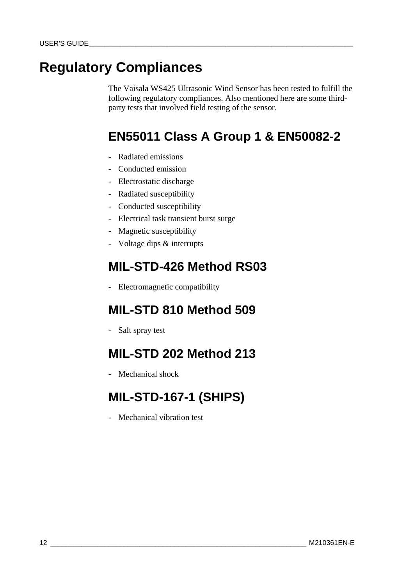## <span id="page-11-1"></span><span id="page-11-0"></span>**Regulatory Compliances**

The Vaisala WS425 Ultrasonic Wind Sensor has been tested to fulfill the following regulatory compliances. Also mentioned here are some thirdparty tests that involved field testing of the sensor.

## **EN55011 Class A Group 1 & EN50082-2**

- Radiated emissions
- Conducted emission
- Electrostatic discharge
- Radiated susceptibility
- Conducted susceptibility
- Electrical task transient burst surge
- Magnetic susceptibility
- Voltage dips & interrupts

### <span id="page-11-2"></span>**MIL-STD-426 Method RS03**

- Electromagnetic compatibility

#### <span id="page-11-3"></span>**MIL-STD 810 Method 509**

- Salt spray test

#### <span id="page-11-4"></span>**MIL-STD 202 Method 213**

- Mechanical shock

#### <span id="page-11-5"></span>**MIL-STD-167-1 (SHIPS)**

- Mechanical vibration test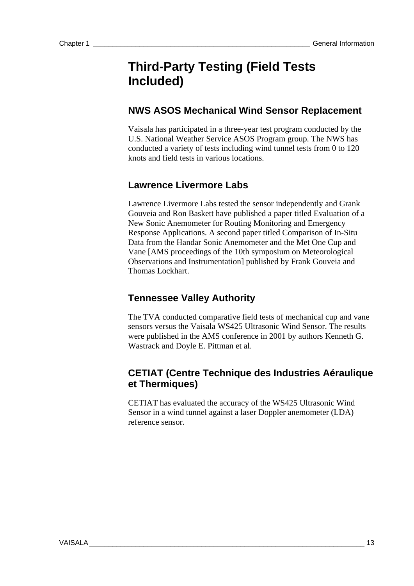### <span id="page-12-0"></span>**Third-Party Testing (Field Tests Included)**

#### <span id="page-12-1"></span>**NWS ASOS Mechanical Wind Sensor Replacement**

Vaisala has participated in a three-year test program conducted by the U.S. National Weather Service ASOS Program group. The NWS has conducted a variety of tests including wind tunnel tests from 0 to 120 knots and field tests in various locations.

#### <span id="page-12-2"></span>**Lawrence Livermore Labs**

Lawrence Livermore Labs tested the sensor independently and Grank Gouveia and Ron Baskett have published a paper titled Evaluation of a New Sonic Anemometer for Routing Monitoring and Emergency Response Applications. A second paper titled Comparison of In-Situ Data from the Handar Sonic Anemometer and the Met One Cup and Vane [AMS proceedings of the 10th symposium on Meteorological Observations and Instrumentation] published by Frank Gouveia and Thomas Lockhart.

#### <span id="page-12-3"></span>**Tennessee Valley Authority**

The TVA conducted comparative field tests of mechanical cup and vane sensors versus the Vaisala WS425 Ultrasonic Wind Sensor. The results were published in the AMS conference in 2001 by authors Kenneth G. Wastrack and Doyle E. Pittman et al.

#### <span id="page-12-4"></span>**CETIAT (Centre Technique des Industries Aéraulique et Thermiques)**

CETIAT has evaluated the accuracy of the WS425 Ultrasonic Wind Sensor in a wind tunnel against a laser Doppler anemometer (LDA) reference sensor.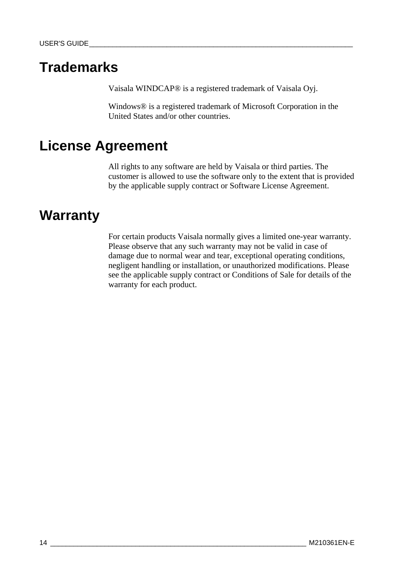### <span id="page-13-0"></span>**Trademarks**

Vaisala WINDCAP® is a registered trademark of Vaisala Oyj.

Windows® is a registered trademark of Microsoft Corporation in the United States and/or other countries.

### <span id="page-13-1"></span>**License Agreement**

All rights to any software are held by Vaisala or third parties. The customer is allowed to use the software only to the extent that is provided by the applicable supply contract or Software License Agreement.

### <span id="page-13-2"></span>**Warranty**

For certain products Vaisala normally gives a limited one-year warranty. Please observe that any such warranty may not be valid in case of damage due to normal wear and tear, exceptional operating conditions, negligent handling or installation, or unauthorized modifications. Please see the applicable supply contract or Conditions of Sale for details of the warranty for each product.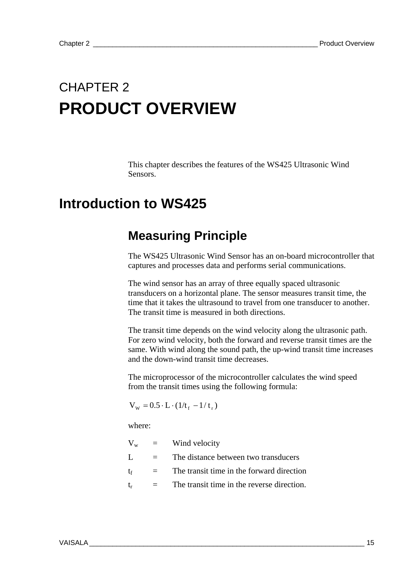# <span id="page-14-3"></span><span id="page-14-0"></span>CHAPTER 2 **PRODUCT OVERVIEW**

This chapter describes the features of the WS425 Ultrasonic Wind Sensors.

#### <span id="page-14-4"></span><span id="page-14-2"></span><span id="page-14-1"></span>**Introduction to WS425**

#### **Measuring Principle**

The WS425 Ultrasonic Wind Sensor has an on-board microcontroller that captures and processes data and performs serial communications.

The wind sensor has an array of three equally spaced ultrasonic transducers on a horizontal plane. The sensor measures transit time, the time that it takes the ultrasound to travel from one transducer to another. The transit time is measured in both directions.

The transit time depends on the wind velocity along the ultrasonic path. For zero wind velocity, both the forward and reverse transit times are the same. With wind along the sound path, the up-wind transit time increases and the down-wind transit time decreases.

The microprocessor of the microcontroller calculates the wind speed from the transit times using the following formula:

$$
V_{\rm w} = 0.5 \cdot L \cdot (1/t_{\rm f} - 1/t_{\rm r})
$$

where:

| $V_{w}$ |          | $=$ Wind velocity                          |
|---------|----------|--------------------------------------------|
| L       | $\equiv$ | The distance between two transducers       |
| tғ      | $=$ $-$  | The transit time in the forward direction  |
| t.      | $=$ $-$  | The transit time in the reverse direction. |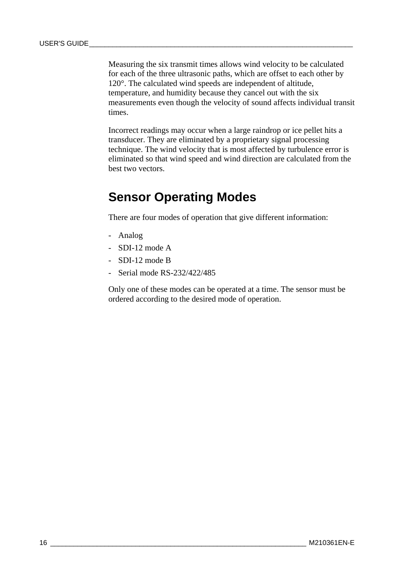Measuring the six transmit times allows wind velocity to be calculated for each of the three ultrasonic paths, which are offset to each other by 120°. The calculated wind speeds are independent of altitude, temperature, and humidity because they cancel out with the six measurements even though the velocity of sound affects individual transit times.

Incorrect readings may occur when a large raindrop or ice pellet hits a transducer. They are eliminated by a proprietary signal processing technique. The wind velocity that is most affected by turbulence error is eliminated so that wind speed and wind direction are calculated from the best two vectors.

### <span id="page-15-0"></span>**Sensor Operating Modes**

There are four modes of operation that give different information:

- Analog
- SDI-12 mode A
- SDI-12 mode B
- Serial mode RS-232/422/485

Only one of these modes can be operated at a time. The sensor must be ordered according to the desired mode of operation.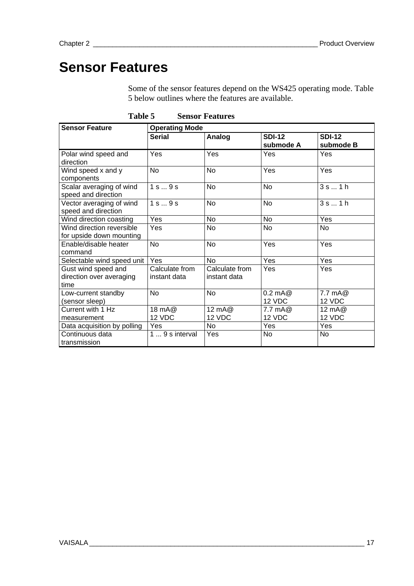### <span id="page-16-0"></span>**Sensor Features**

Some of the sensor features depend on the WS425 operating mode. [Table](#page-16-1)  [5 below](#page-16-1) outlines where the features are available.

<span id="page-16-1"></span>

| <b>Sensor Feature</b>                                   | <b>Operating Mode</b>          |                                |                              |                              |  |  |  |  |
|---------------------------------------------------------|--------------------------------|--------------------------------|------------------------------|------------------------------|--|--|--|--|
|                                                         | <b>Serial</b>                  | Analog                         | <b>SDI-12</b><br>submode A   | <b>SDI-12</b><br>submode B   |  |  |  |  |
| Polar wind speed and<br>direction                       | Yes                            | Yes                            | Yes                          | Yes                          |  |  |  |  |
| Wind speed x and y<br>components                        | <b>No</b>                      | <b>No</b>                      | Yes                          | Yes                          |  |  |  |  |
| Scalar averaging of wind<br>speed and direction         | 1 s <sub></sub> 9 s            | <b>No</b>                      | <b>No</b>                    | 3s1h                         |  |  |  |  |
| Vector averaging of wind<br>speed and direction         | 1 s <sub></sub> 9 s            | <b>No</b>                      | <b>No</b>                    | 3s1h                         |  |  |  |  |
| Wind direction coasting                                 | Yes                            | <b>No</b>                      | <b>No</b>                    | Yes                          |  |  |  |  |
| Wind direction reversible<br>for upside down mounting   | Yes                            | <b>No</b>                      | <b>No</b>                    | <b>No</b>                    |  |  |  |  |
| Enable/disable heater<br>command                        | No                             | <b>No</b>                      | Yes                          | Yes                          |  |  |  |  |
| Selectable wind speed unit                              | Yes                            | <b>No</b>                      | Yes                          | Yes                          |  |  |  |  |
| Gust wind speed and<br>direction over averaging<br>time | Calculate from<br>instant data | Calculate from<br>instant data | Yes                          | Yes                          |  |  |  |  |
| Low-current standby<br>(sensor sleep)                   | No                             | <b>No</b>                      | $0.2 \text{ mA} @$<br>12 VDC | $7.7 \text{ mA} @$<br>12 VDC |  |  |  |  |
| Current with 1 Hz<br>measurement                        | 18 mA@<br>12 VDC               | 12 mA@<br>12 VDC               | 7.7 mA@<br>12 VDC            | $12 \text{ mA} @$<br>12 VDC  |  |  |  |  |
| Data acquisition by polling                             | Yes                            | <b>No</b>                      | Yes                          | Yes                          |  |  |  |  |
| Continuous data<br>transmission                         | 1  9 s interval                | Yes                            | No.                          | No                           |  |  |  |  |

**Table 5 Sensor Features**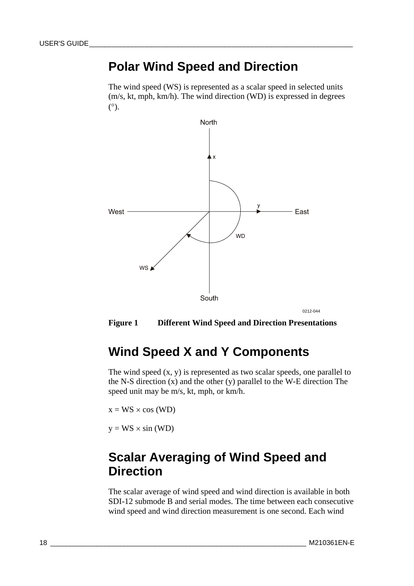### <span id="page-17-0"></span>**Polar Wind Speed and Direction**

The wind speed (WS) is represented as a scalar speed in selected units (m/s, kt, mph, km/h). The wind direction (WD) is expressed in degrees  $(°)$ .



<span id="page-17-3"></span>**Figure 1 Different Wind Speed and Direction Presentations** 

#### <span id="page-17-1"></span>**Wind Speed X and Y Components**

The wind speed (x, y) is represented as two scalar speeds, one parallel to the N-S direction (x) and the other (y) parallel to the W-E direction The speed unit may be m/s, kt, mph, or km/h.

 $x = WS \times cos (WD)$ 

 $y = WS \times \sin (WD)$ 

#### <span id="page-17-2"></span>**Scalar Averaging of Wind Speed and Direction**

The scalar average of wind speed and wind direction is available in both SDI-12 submode B and serial modes. The time between each consecutive wind speed and wind direction measurement is one second. Each wind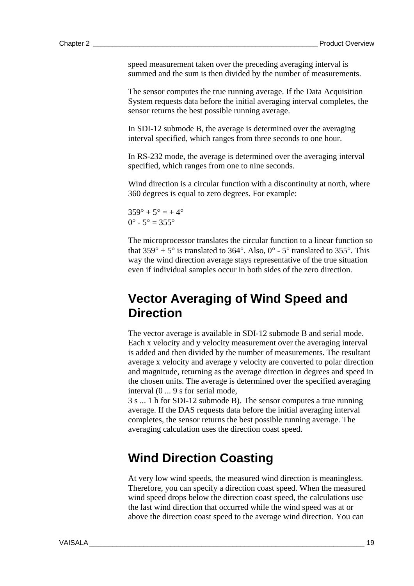speed measurement taken over the preceding averaging interval is summed and the sum is then divided by the number of measurements.

The sensor computes the true running average. If the Data Acquisition System requests data before the initial averaging interval completes, the sensor returns the best possible running average.

In SDI-12 submode B, the average is determined over the averaging interval specified, which ranges from three seconds to one hour.

In RS-232 mode, the average is determined over the averaging interval specified, which ranges from one to nine seconds.

Wind direction is a circular function with a discontinuity at north, where 360 degrees is equal to zero degrees. For example:

 $359^{\circ} + 5^{\circ} = +4^{\circ}$  $0^{\circ} - 5^{\circ} = 355^{\circ}$ 

The microprocessor translates the circular function to a linear function so that  $359^{\circ} + 5^{\circ}$  is translated to  $364^{\circ}$ . Also,  $0^{\circ}$  -  $5^{\circ}$  translated to  $355^{\circ}$ . This way the wind direction average stays representative of the true situation even if individual samples occur in both sides of the zero direction.

#### <span id="page-18-0"></span>**Vector Averaging of Wind Speed and Direction**

The vector average is available in SDI-12 submode B and serial mode. Each x velocity and y velocity measurement over the averaging interval is added and then divided by the number of measurements. The resultant average x velocity and average y velocity are converted to polar direction and magnitude, returning as the average direction in degrees and speed in the chosen units. The average is determined over the specified averaging interval (0 ... 9 s for serial mode,

3 s ... 1 h for SDI-12 submode B). The sensor computes a true running average. If the DAS requests data before the initial averaging interval completes, the sensor returns the best possible running average. The averaging calculation uses the direction coast speed.

#### <span id="page-18-1"></span>**Wind Direction Coasting**

At very low wind speeds, the measured wind direction is meaningless. Therefore, you can specify a direction coast speed. When the measured wind speed drops below the direction coast speed, the calculations use the last wind direction that occurred while the wind speed was at or above the direction coast speed to the average wind direction. You can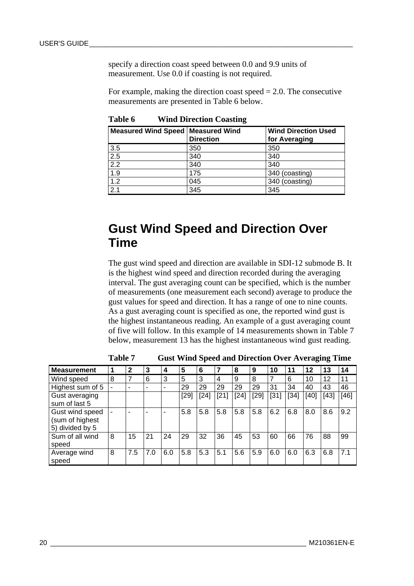specify a direction coast speed between 0.0 and 9.9 units of measurement. Use 0.0 if coasting is not required.

For example, making the direction coast speed  $= 2.0$ . The consecutive measurements are presented in [Table 6 below](#page-19-1).

<span id="page-19-1"></span>

| <b>Measured Wind Speed   Measured Wind</b> | <b>Direction</b> | <b>Wind Direction Used</b><br>for Averaging |
|--------------------------------------------|------------------|---------------------------------------------|
| 3.5                                        | 350              | 350                                         |
| $\overline{2.5}$                           | 340              | 340                                         |
| 2.2                                        | 340              | 340                                         |
| 1.9                                        | 175              | 340 (coasting)                              |
| 1.2                                        | 045              | 340 (coasting)                              |
| 2 <sub>1</sub>                             | 345              | 345                                         |

**Table 6 Wind Direction Coasting** 

#### <span id="page-19-0"></span>**Gust Wind Speed and Direction Over Time**

The gust wind speed and direction are available in SDI-12 submode B. It is the highest wind speed and direction recorded during the averaging interval. The gust averaging count can be specified, which is the number of measurements (one measurement each second) average to produce the gust values for speed and direction. It has a range of one to nine counts. As a gust averaging count is specified as one, the reported wind gust is the highest instantaneous reading. An example of a gust averaging count of five will follow. In this example of 14 measurements shown in [Table 7](#page-19-2) [below](#page-19-2), measurement 13 has the highest instantaneous wind gust reading.

<span id="page-19-2"></span>

|                                                       |   |                          |                          |     |      | $- - - - - - -$ |      |      |      |      |      |      |      |        |
|-------------------------------------------------------|---|--------------------------|--------------------------|-----|------|-----------------|------|------|------|------|------|------|------|--------|
| Measurement                                           |   | 2                        | 3                        | 4   | 5    | 6               |      | 8    | 9    | 10   | 11   | 12   | 13   | 14     |
| Wind speed                                            | 8 |                          | 6                        | 3   | 5    | 3               | 4    | 9    | 8    |      | 6    | 10   | 12   | 11     |
| Highest sum of 5                                      |   | -                        | $\overline{\phantom{0}}$ | -   | 29   | 29              | 29   | 29   | 29   | 31   | 34   | 40   | 43   | 46     |
| Gust averaging<br>sum of last 5                       |   |                          |                          |     | [29] | [24]            | [21] | [24] | [29] | [31] | [34] | [40] | [43] | $[46]$ |
| Gust wind speed<br>(sum of highest<br>5) divided by 5 |   | $\overline{\phantom{0}}$ | $\overline{\phantom{0}}$ |     | 5.8  | 5.8             | 5.8  | 5.8  | 5.8  | 6.2  | 6.8  | 8.0  | 8.6  | 9.2    |
| Sum of all wind<br>speed                              | 8 | 15                       | 21                       | 24  | 29   | 32              | 36   | 45   | 53   | 60   | 66   | 76   | 88   | 99     |
| Average wind<br>speed                                 | 8 | 7.5                      | 7.0                      | 6.0 | 5.8  | 5.3             | 5.1  | 5.6  | 5.9  | 6.0  | 6.0  | 6.3  | 6.8  | 7.1    |

**Table 7 Gust Wind Speed and Direction Over Averaging Time**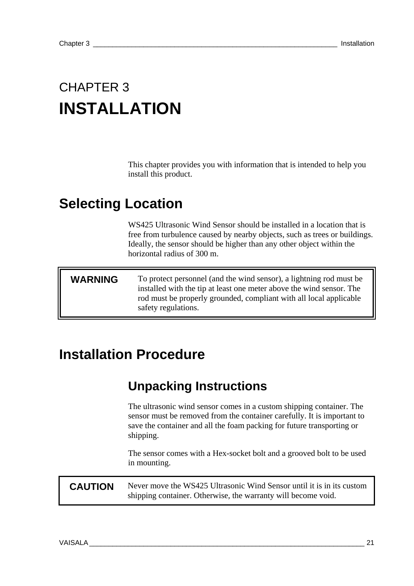# <span id="page-20-4"></span><span id="page-20-0"></span>CHAPTER 3 **INSTALLATION**

This chapter provides you with information that is intended to help you install this product.

### <span id="page-20-5"></span><span id="page-20-1"></span>**Selecting Location**

WS425 Ultrasonic Wind Sensor should be installed in a location that is free from turbulence caused by nearby objects, such as trees or buildings. Ideally, the sensor should be higher than any other object within the horizontal radius of 300 m.

**WARNING** To protect personnel (and the wind sensor), a lightning rod must be installed with the tip at least one meter above the wind sensor. The rod must be properly grounded, compliant with all local applicable safety regulations.

### <span id="page-20-3"></span><span id="page-20-2"></span>**Installation Procedure**

### **Unpacking Instructions**

The ultrasonic wind sensor comes in a custom shipping container. The sensor must be removed from the container carefully. It is important to save the container and all the foam packing for future transporting or shipping.

The sensor comes with a Hex-socket bolt and a grooved bolt to be used in mounting.

**CAUTION** Never move the WS425 Ultrasonic Wind Sensor until it is in its custom shipping container. Otherwise, the warranty will become void.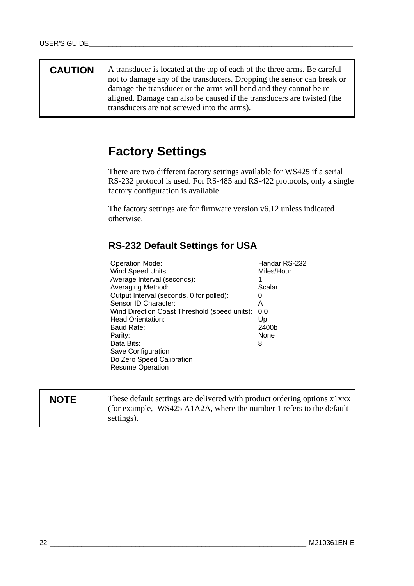#### <span id="page-21-0"></span>**CAUTION** A transducer is located at the top of each of the three arms. Be careful not to damage any of the transducers. Dropping the sensor can break or damage the transducer or the arms will bend and they cannot be realigned. Damage can also be caused if the transducers are twisted (the transducers are not screwed into the arms).

### **Factory Settings**

There are two different factory settings available for WS425 if a serial RS-232 protocol is used. For RS-485 and RS-422 protocols, only a single factory configuration is available.

The factory settings are for firmware version v6.12 unless indicated otherwise.

#### <span id="page-21-1"></span>**RS-232 Default Settings for USA**

| <b>Operation Mode:</b>                        | Handar RS-232 |
|-----------------------------------------------|---------------|
| Wind Speed Units:                             | Miles/Hour    |
| Average Interval (seconds):                   |               |
| <b>Averaging Method:</b>                      | Scalar        |
| Output Interval (seconds, 0 for polled):      |               |
| Sensor ID Character:                          | А             |
| Wind Direction Coast Threshold (speed units): | 0.0           |
| Head Orientation:                             | Up            |
| Baud Rate:                                    | 2400b         |
| Parity:                                       | None          |
| Data Bits:                                    | 8             |
| Save Configuration                            |               |
| Do Zero Speed Calibration                     |               |
| <b>Resume Operation</b>                       |               |

| <b>NOTE</b> | These default settings are delivered with product ordering options x1xxx |
|-------------|--------------------------------------------------------------------------|
|             | (for example, $WS425 A1A2A$ , where the number 1 refers to the default   |
|             | settings).                                                               |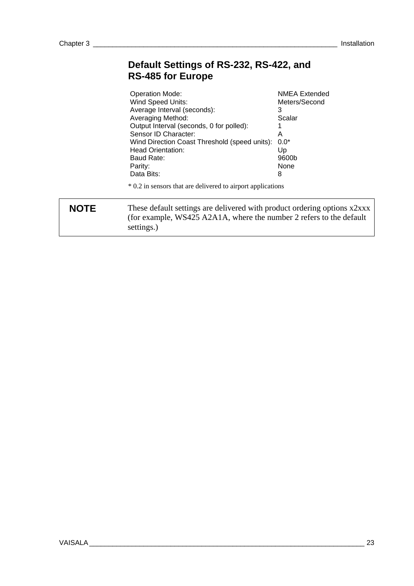#### <span id="page-22-0"></span>**Default Settings of RS-232, RS-422, and RS-485 for Europe**

| <b>Operation Mode:</b>                        | <b>NMEA Extended</b> |
|-----------------------------------------------|----------------------|
| Wind Speed Units:                             | Meters/Second        |
| Average Interval (seconds):                   | 3                    |
| Averaging Method:                             | Scalar               |
| Output Interval (seconds, 0 for polled):      |                      |
| Sensor ID Character:                          | Α                    |
| Wind Direction Coast Threshold (speed units): | $0.0*$               |
| Head Orientation:                             | Up                   |
| Baud Rate:                                    | 9600b                |
| Parity:                                       | None                 |
| Data Bits:                                    | 8                    |

\* 0.2 in sensors that are delivered to airport applications

**NOTE** These default settings are delivered with product ordering options x2xxx (for example, WS425 A2A1A, where the number 2 refers to the default settings.)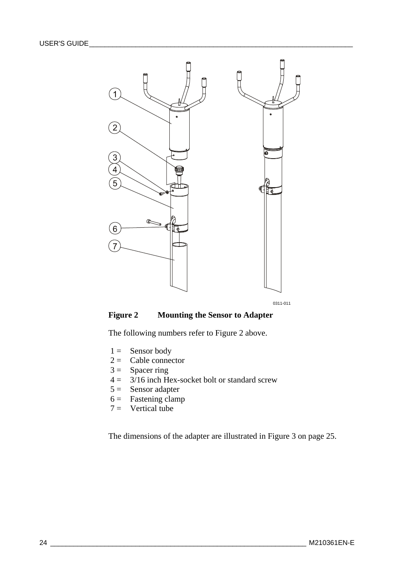

#### 0311-011

#### <span id="page-23-0"></span>**Figure 2 Mounting the Sensor to Adapter**

The following numbers refer to [Figure 2 above.](#page-23-0)

- $1 =$  Sensor body
- $2 =$  Cable connector
- $3 =$  Spacer ring
- $4 = 3/16$  inch Hex-socket bolt or standard screw
- $5 =$  Sensor adapter
- $6 =$  Fastening clamp
- $7 =$  Vertical tube

The dimensions of the adapter are illustrated in [Figure 3 on pag](#page-24-0)e 25.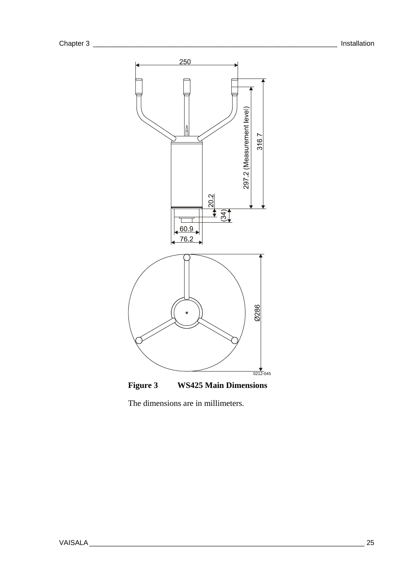

<span id="page-24-0"></span>**Figure 3 WS425 Main Dimensions** 

The dimensions are in millimeters.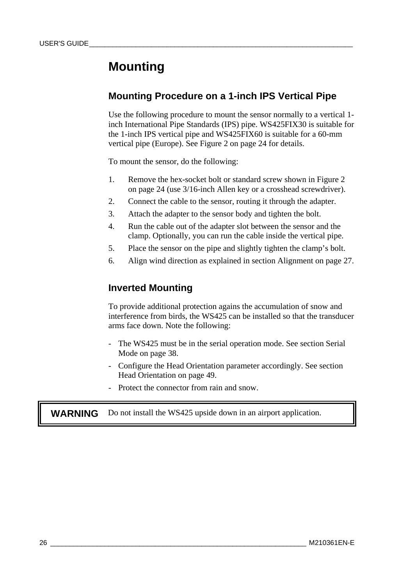### <span id="page-25-0"></span>**Mounting**

#### <span id="page-25-1"></span>**Mounting Procedure on a 1-inch IPS Vertical Pipe**

Use the following procedure to mount the sensor normally to a vertical 1 inch International Pipe Standards (IPS) pipe. WS425FIX30 is suitable for the 1-inch IPS vertical pipe and WS425FIX60 is suitable for a 60-mm vertical pipe (Europe). See [Figure 2 on pa](#page-23-0)ge 24 for details.

To mount the sensor, do the following:

- 1. Remove the hex-socket bolt or standard screw shown in [Figure 2](#page-23-0) [on pag](#page-23-0)e 24 (use 3/16-inch Allen key or a crosshead screwdriver).
- 2. Connect the cable to the sensor, routing it through the adapter.
- 3. Attach the adapter to the sensor body and tighten the bolt.
- 4. Run the cable out of the adapter slot between the sensor and the clamp. Optionally, you can run the cable inside the vertical pipe.
- 5. Place the sensor on the pipe and slightly tighten the clamp's bolt.
- 6. Align wind direction as explained in section [Alignment on pag](#page-26-0)e 27.

#### <span id="page-25-2"></span>**Inverted Mounting**

To provide additional protection agains the accumulation of snow and interference from birds, the WS425 can be installed so that the transducer arms face down. Note the following:

- The WS425 must be in the serial operation mode. See section Serial [Mode](#page-37-0) on page [38](#page-37-0).
- Configure the Head Orientation parameter accordingly. See section [Head Orientation](#page-48-1) on page [49](#page-48-1).
- Protect the connector from rain and snow.

**WARNING** Do not install the WS425 upside down in an airport application.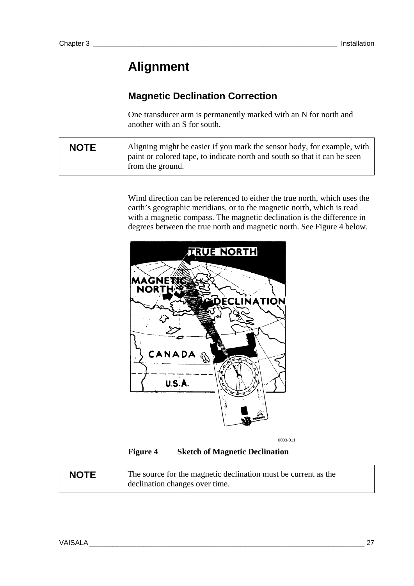### **Alignment**

#### **Magnetic Declination Correction**

One transducer arm is permanently marked with an N for north and another with an S for south.

<span id="page-26-1"></span><span id="page-26-0"></span>**NOTE** Aligning might be easier if you mark the sensor body, for example, with paint or colored tape, to indicate north and south so that it can be seen from the ground.

> Wind direction can be referenced to either the true north, which uses the earth's geographic meridians, or to the magnetic north, which is read with a magnetic compass. The magnetic declination is the difference in degrees between the true north and magnetic north. See [Figure 4 below](#page-26-2).



0003-011

**Figure 4 Sketch of Magnetic Declination** 

<span id="page-26-2"></span>**NOTE** The source for the magnetic declination must be current as the declination changes over time.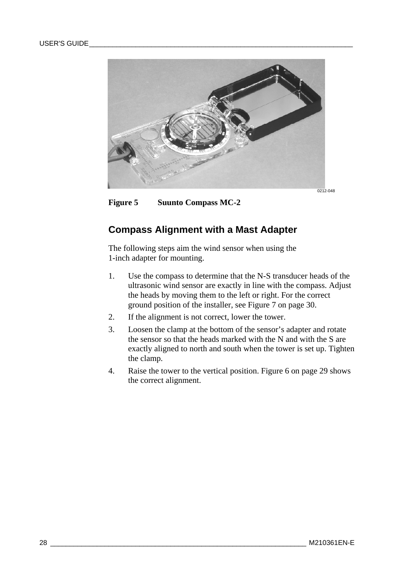

<span id="page-27-1"></span>**Figure 5 Suunto Compass MC-2** 

#### <span id="page-27-0"></span>**Compass Alignment with a Mast Adapter**

The following steps aim the wind sensor when using the 1-inch adapter for mounting.

- 1. Use the compass to determine that the N-S transducer heads of the ultrasonic wind sensor are exactly in line with the compass. Adjust the heads by moving them to the left or right. For the correct ground position of the installer, see [Figure 7 on pa](#page-29-0)ge 30.
- 2. If the alignment is not correct, lower the tower.
- 3. Loosen the clamp at the bottom of the sensor's adapter and rotate the sensor so that the heads marked with the N and with the S are exactly aligned to north and south when the tower is set up. Tighten the clamp.
- 4. Raise the tower to the vertical position. [Figure 6 on pa](#page-28-0)ge 29 shows the correct alignment.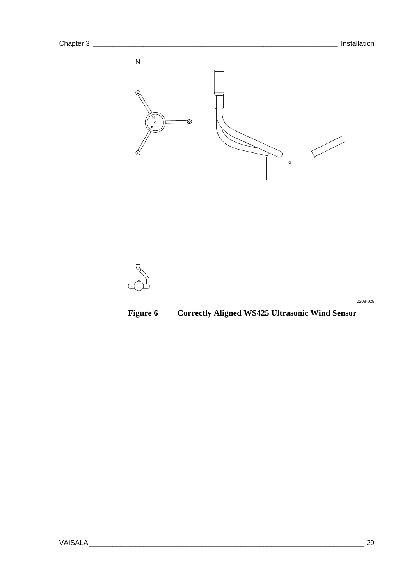

0208-025

<span id="page-28-0"></span>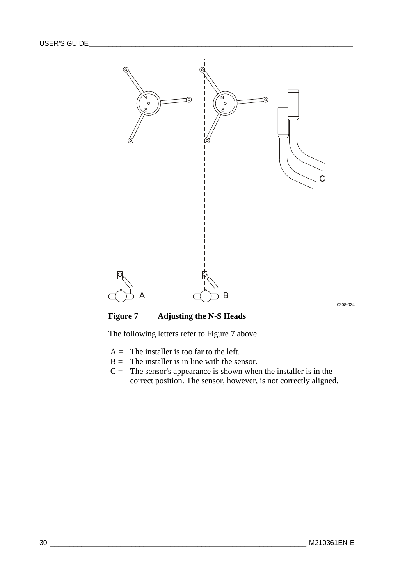

0208-024

#### <span id="page-29-0"></span>**Figure 7 Adjusting the N-S Heads**

The following letters refer to [Figure 7 above.](#page-29-0)

- $A =$ The installer is too far to the left.
- $B =$  The installer is in line with the sensor.
- $C =$  The sensor's appearance is shown when the installer is in the correct position. The sensor, however, is not correctly aligned.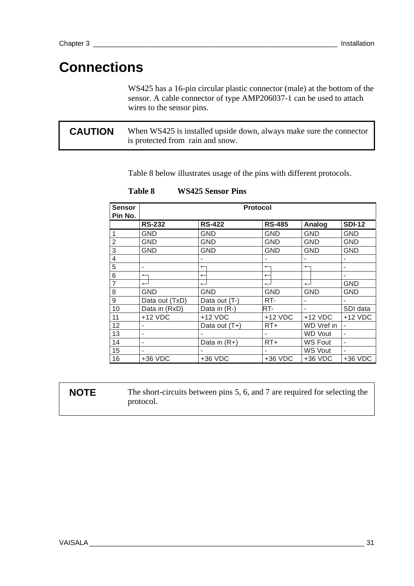## <span id="page-30-0"></span>**Connections**

WS425 has a 16-pin circular plastic connector (male) at the bottom of the sensor. A cable connector of type AMP206037-1 can be used to attach wires to the sensor pins.

<span id="page-30-1"></span>

| <b>CAUTION</b> | When WS425 is installed upside down, always make sure the connector |
|----------------|---------------------------------------------------------------------|
|                | is protected from rain and snow.                                    |

[Table 8 below](#page-30-1) illustrates usage of the pins with different protocols.

| <b>Sensor</b><br>Pin No. | <b>Protocol</b>          |                 |               |                |                |  |  |  |
|--------------------------|--------------------------|-----------------|---------------|----------------|----------------|--|--|--|
|                          | <b>RS-232</b>            | <b>RS-422</b>   | <b>RS-485</b> | Analog         | <b>SDI-12</b>  |  |  |  |
| 1                        | <b>GND</b>               | <b>GND</b>      | <b>GND</b>    | <b>GND</b>     | <b>GND</b>     |  |  |  |
| $\overline{2}$           | <b>GND</b>               | <b>GND</b>      | <b>GND</b>    | <b>GND</b>     | <b>GND</b>     |  |  |  |
| 3                        | <b>GND</b>               | <b>GND</b>      | GND           | <b>GND</b>     | <b>GND</b>     |  |  |  |
| 4                        |                          |                 |               |                |                |  |  |  |
| 5                        | $\blacksquare$           |                 |               |                | $\blacksquare$ |  |  |  |
| 6                        |                          | $\bullet$       | $\bullet$     |                |                |  |  |  |
| 7                        |                          |                 |               | $\overline{a}$ | <b>GND</b>     |  |  |  |
| 8                        | <b>GND</b>               | <b>GND</b>      | <b>GND</b>    | <b>GND</b>     | <b>GND</b>     |  |  |  |
| 9                        | Data out (TxD)           | Data out (T-)   | RT-           |                |                |  |  |  |
| 10                       | Data in (RxD)            | Data in (R-)    | RT-           |                | SDI data       |  |  |  |
| 11                       | $+12$ VDC                | $+12$ VDC       | $+12$ VDC     | $+12$ VDC      | $+12$ VDC      |  |  |  |
| 12                       |                          | Data out $(T+)$ | RT+           | WD Vref in     |                |  |  |  |
| 13                       |                          |                 |               | <b>WD Vout</b> | $\blacksquare$ |  |  |  |
| 14                       | ۰                        | Data in $(R+)$  | RT+           | <b>WS Fout</b> | $\blacksquare$ |  |  |  |
| 15                       | $\overline{\phantom{a}}$ |                 | WS Vout       |                | $\blacksquare$ |  |  |  |
| 16                       | +36 VDC                  | +36 VDC         | +36 VDC       | $+36$ VDC      | +36 VDC        |  |  |  |

**Table 8 WS425 Sensor Pins** 

**NOTE** The short-circuits between pins 5, 6, and 7 are required for selecting the protocol.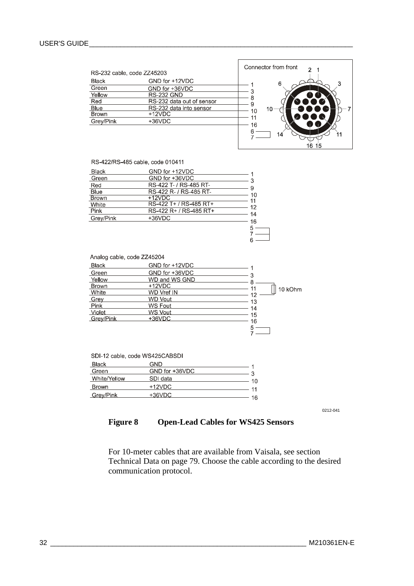| RS-232 cable, code ZZ45203 |                           | Connector from front<br>$\mathcal{P}$ |
|----------------------------|---------------------------|---------------------------------------|
| Black                      | GND for +12VDC            | 6                                     |
| Green                      | GND for +36VDC            |                                       |
| Yellow                     | <b>RS-232 GND</b>         |                                       |
| Red                        | RS-232 data out of sensor |                                       |
| Blue                       | RS-232 data into sensor   | 10                                    |
| <b>Brown</b>               | $+12VDC$                  |                                       |
| Grey/Pink                  | $+36VDC$                  |                                       |
|                            |                           | 16<br>6<br>14<br>15<br>16             |

#### RS-422/RS-485 cable, code 010411

| <b>Black</b> | GND for +12VDC         |    |
|--------------|------------------------|----|
| Green        | GND for +36VDC         |    |
| Red          | RS-422 T- / RS-485 RT- | 9  |
| <b>Blue</b>  | RS-422 R- / RS-485 RT- | 10 |
| <b>Brown</b> | $+12VDC$               |    |
| White        | RS-422 T+ / RS-485 RT+ | 12 |
| Pink         | RS-422 R+ / RS-485 RT+ | 14 |
| Grey/Pink    | +36VDC                 | 16 |
|              |                        |    |
|              |                        |    |
|              |                        |    |

#### Analog cable, code ZZ45204

| Black     | GND for +12VDC |               |
|-----------|----------------|---------------|
| Green     | GND for +36VDC |               |
| Yellow    | WD and WS GND  |               |
| Brown     | +12VDC         |               |
| White     | WD Vref IN     | 10 kOhm       |
| Grey      | WD Vout        | 13            |
| Pink      | WS Fout        | 14            |
| Violet    | WS Vout        |               |
| Grey/Pink | $+36$ VDC      |               |
|           |                |               |
|           |                |               |
|           |                | 15<br>16<br>5 |

| SDI-12 cable, code WS425CABSDI |                |    |
|--------------------------------|----------------|----|
| Black                          | GND            |    |
| Green                          | GND for +36VDC |    |
| White/Yellow                   | SDI data       | 10 |
| Brown                          | $+12VDC$       |    |
| Grey/Pink                      | $+36VDC$       | 16 |
|                                |                |    |

0212-041

#### <span id="page-31-0"></span>**Figure 8 Open-Lead Cables for WS425 Sensors**

For 10-meter cables that are available from Vaisala, see section [Technical Data](#page-78-0) on page [79](#page-78-0). Choose the cable according to the desired communication protocol.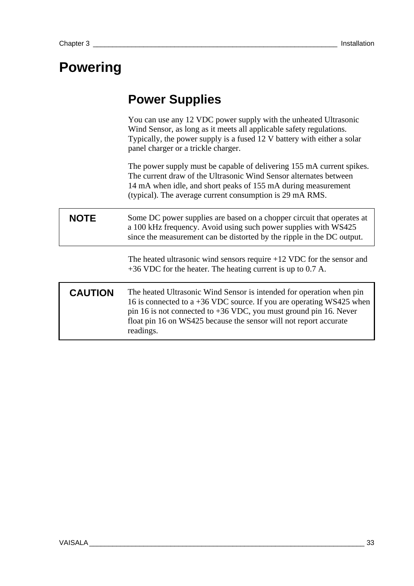## <span id="page-32-1"></span><span id="page-32-0"></span>**Powering**

### **Power Supplies**

You can use any 12 VDC power supply with the unheated Ultrasonic Wind Sensor, as long as it meets all applicable safety regulations. Typically, the power supply is a fused 12 V battery with either a solar panel charger or a trickle charger.

The power supply must be capable of delivering 155 mA current spikes. The current draw of the Ultrasonic Wind Sensor alternates between 14 mA when idle, and short peaks of 155 mA during measurement (typical). The average current consumption is 29 mA RMS.

#### **NOTE** Some DC power supplies are based on a chopper circuit that operates at a 100 kHz frequency. Avoid using such power supplies with WS425 since the measurement can be distorted by the ripple in the DC output.

The heated ultrasonic wind sensors require +12 VDC for the sensor and +36 VDC for the heater. The heating current is up to 0.7 A.

**CAUTION** The heated Ultrasonic Wind Sensor is intended for operation when pin 16 is connected to a +36 VDC source. If you are operating WS425 when pin 16 is not connected to +36 VDC, you must ground pin 16. Never float pin 16 on WS425 because the sensor will not report accurate readings.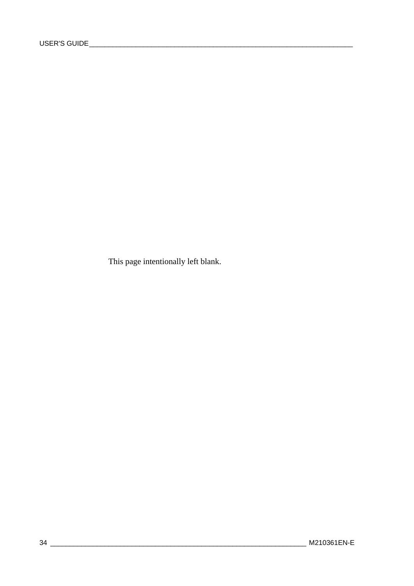This page intentionally left blank.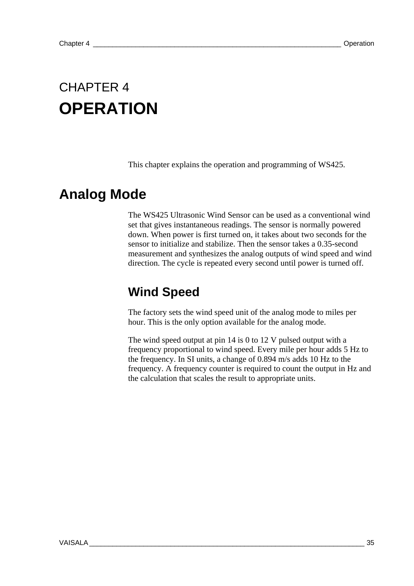# <span id="page-34-3"></span><span id="page-34-0"></span>CHAPTER 4 **OPERATION**

This chapter explains the operation and programming of WS425.

## <span id="page-34-4"></span><span id="page-34-2"></span><span id="page-34-1"></span>**Analog Mode**

The WS425 Ultrasonic Wind Sensor can be used as a conventional wind set that gives instantaneous readings. The sensor is normally powered down. When power is first turned on, it takes about two seconds for the sensor to initialize and stabilize. Then the sensor takes a 0.35-second measurement and synthesizes the analog outputs of wind speed and wind direction. The cycle is repeated every second until power is turned off.

## **Wind Speed**

The factory sets the wind speed unit of the analog mode to miles per hour. This is the only option available for the analog mode.

The wind speed output at pin 14 is 0 to 12 V pulsed output with a frequency proportional to wind speed. Every mile per hour adds 5 Hz to the frequency. In SI units, a change of 0.894 m/s adds 10 Hz to the frequency. A frequency counter is required to count the output in Hz and the calculation that scales the result to appropriate units.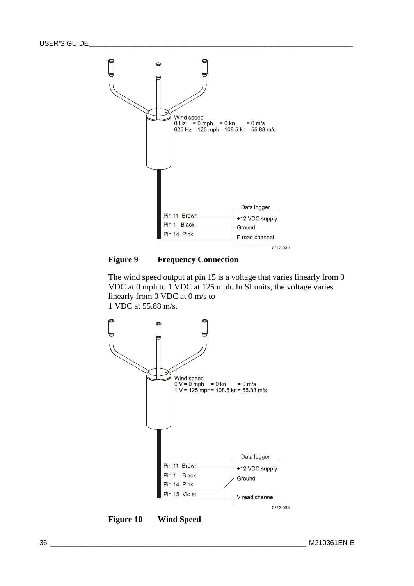

<span id="page-35-0"></span>**Figure 9 Frequency Connection** 

The wind speed output at pin 15 is a voltage that varies linearly from 0 VDC at 0 mph to 1 VDC at 125 mph. In SI units, the voltage varies linearly from 0 VDC at 0 m/s to 1 VDC at 55.88 m/s.



<span id="page-35-1"></span>**Figure 10 Wind Speed**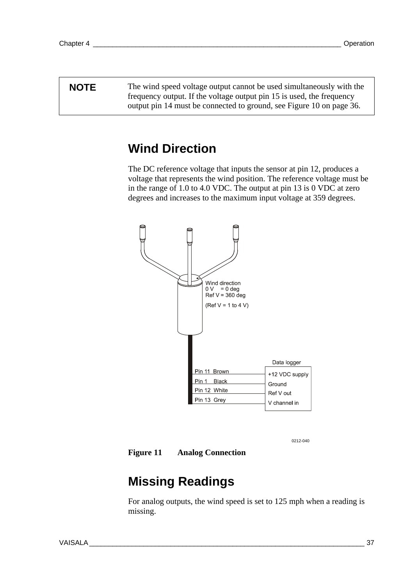## **NOTE** The wind speed voltage output cannot be used simultaneously with the frequency output. If the voltage output pin 15 is used, the frequency output pin 14 must be connected to ground, see [Figure 10 on pa](#page-35-0)ge 36.

# **Wind Direction**

The DC reference voltage that inputs the sensor at pin 12, produces a voltage that represents the wind position. The reference voltage must be in the range of 1.0 to 4.0 VDC. The output at pin 13 is 0 VDC at zero degrees and increases to the maximum input voltage at 359 degrees.





## **Figure 11 Analog Connection**

# **Missing Readings**

For analog outputs, the wind speed is set to 125 mph when a reading is missing.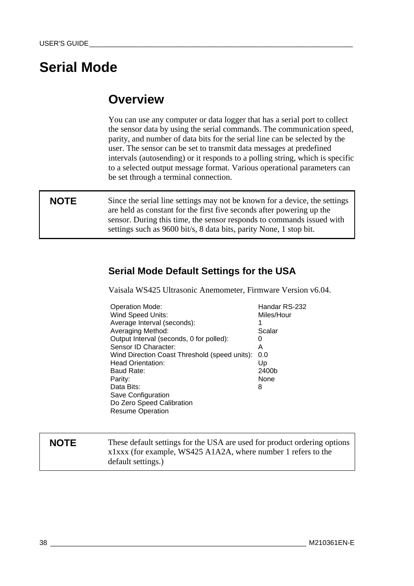# **Serial Mode**

# **Overview**

You can use any computer or data logger that has a serial port to collect the sensor data by using the serial commands. The communication speed, parity, and number of data bits for the serial line can be selected by the user. The sensor can be set to transmit data messages at predefined intervals (autosending) or it responds to a polling string, which is specific to a selected output message format. Various operational parameters can be set through a terminal connection.

**NOTE** Since the serial line settings may not be known for a device, the settings are held as constant for the first five seconds after powering up the sensor. During this time, the sensor responds to commands issued with settings such as 9600 bit/s, 8 data bits, parity None, 1 stop bit.

## **Serial Mode Default Settings for the USA**

Vaisala WS425 Ultrasonic Anemometer, Firmware Version v6.04.

| <b>Operation Mode:</b><br><b>Wind Speed Units:</b> | Handar RS-232<br>Miles/Hour |
|----------------------------------------------------|-----------------------------|
| Average Interval (seconds):                        |                             |
|                                                    |                             |
| Averaging Method:                                  | Scalar                      |
| Output Interval (seconds, 0 for polled):           | O                           |
| Sensor ID Character:                               | Α                           |
| Wind Direction Coast Threshold (speed units):      | 0.0                         |
| Head Orientation:                                  | Up                          |
| Baud Rate:                                         | 2400b                       |
| Parity:                                            | None                        |
| Data Bits:                                         | 8                           |
| Save Configuration                                 |                             |
| Do Zero Speed Calibration                          |                             |
| <b>Resume Operation</b>                            |                             |

**NOTE** These default settings for the USA are used for product ordering options x1xxx (for example, WS425 A1A2A, where number 1 refers to the default settings.)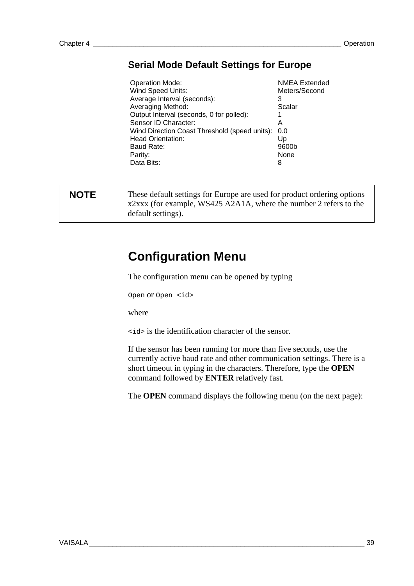## **Serial Mode Default Settings for Europe**

| <b>Operation Mode:</b>                        | <b>NMEA Extended</b> |
|-----------------------------------------------|----------------------|
| Wind Speed Units:                             | Meters/Second        |
| Average Interval (seconds):                   | 3                    |
| <b>Averaging Method:</b>                      | Scalar               |
| Output Interval (seconds, 0 for polled):      |                      |
| Sensor ID Character:                          | Α                    |
| Wind Direction Coast Threshold (speed units): | 0.0                  |
| <b>Head Orientation:</b>                      | Up                   |
| Baud Rate:                                    | 9600b                |
| Parity:                                       | None                 |
| Data Bits:                                    | 8                    |

**NOTE** These default settings for Europe are used for product ordering options x2xxx (for example, WS425 A2A1A, where the number 2 refers to the default settings).

# **Configuration Menu**

The configuration menu can be opened by typing

Open OT Open <id>

where

<id> is the identification character of the sensor.

If the sensor has been running for more than five seconds, use the currently active baud rate and other communication settings. There is a short timeout in typing in the characters. Therefore, type the **OPEN** command followed by **ENTER** relatively fast.

The **OPEN** command displays the following menu (on the next page):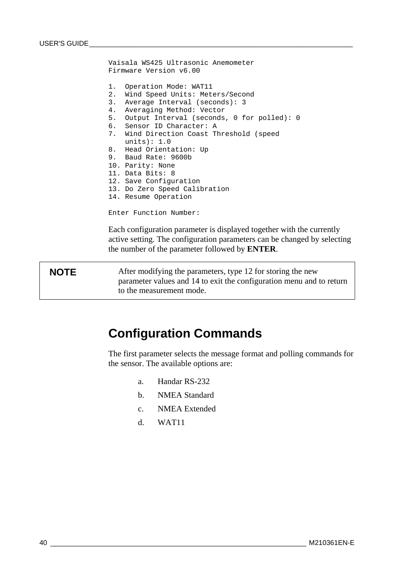```
Vaisala WS425 Ultrasonic Anemometer 
Firmware Version v6.00 
1. Operation Mode: WAT11 
2. Wind Speed Units: Meters/Second 
3. Average Interval (seconds): 3 
4. Averaging Method: Vector 
5. Output Interval (seconds, 0 for polled): 0 
6. Sensor ID Character: A 
7. Wind Direction Coast Threshold (speed 
    units): 1.0 
8. Head Orientation: Up 
9. Baud Rate: 9600b 
10. Parity: None 
11. Data Bits: 8 
12. Save Configuration 
13. Do Zero Speed Calibration 
14. Resume Operation 
Enter Function Number:
```
Each configuration parameter is displayed together with the currently active setting. The configuration parameters can be changed by selecting the number of the parameter followed by **ENTER**.

**NOTE** After modifying the parameters, type 12 for storing the new parameter values and 14 to exit the configuration menu and to return to the measurement mode.

## **Configuration Commands**

The first parameter selects the message format and polling commands for the sensor. The available options are:

- a. Handar RS-232
- b. NMEA Standard
- c. NMEA Extended
- d. WAT11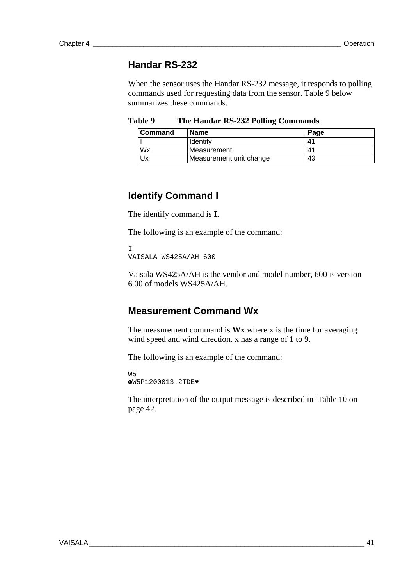### **Handar RS-232**

When the sensor uses the Handar RS-232 message, it responds to polling commands used for requesting data from the sensor. [Table 9 below](#page-40-0) summarizes these commands.

<span id="page-40-0"></span>**Table 9 The Handar RS-232 Polling Commands** 

| Command | <b>Name</b>             | Page |
|---------|-------------------------|------|
|         | Identify                | 41   |
| Wx      | Measurement             | 41   |
| Jx      | Measurement unit change | 43   |

## <span id="page-40-1"></span>**Identify Command I**

The identify command is **I**.

The following is an example of the command:

```
\mathsf{T}VAISALA WS425A/AH 600
```
Vaisala WS425A/AH is the vendor and model number, 600 is version 6.00 of models WS425A/AH.

## <span id="page-40-2"></span>**Measurement Command Wx**

The measurement command is **Wx** where x is the time for averaging wind speed and wind direction. x has a range of 1 to 9.

The following is an example of the command:

```
W5 
☻W5P1200013.2TDE♥
```
The interpretation of the output message is described in [Table 10](#page-41-0) on page [4](#page-41-0)2.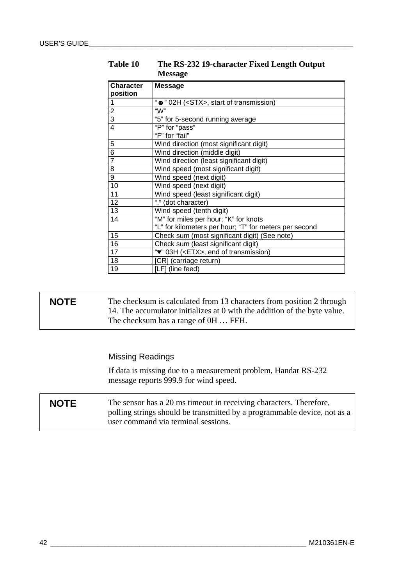| <b>Character</b><br>position | <b>Message</b>                                         |
|------------------------------|--------------------------------------------------------|
|                              | ". 02H ( <stx>, start of transmission)</stx>           |
| $\overline{2}$               | "W"                                                    |
| $\overline{3}$               | "5" for 5-second running average                       |
| 4                            | "P" for "pass"                                         |
|                              | "F" for "fail"                                         |
| 5                            | Wind direction (most significant digit)                |
| $\overline{6}$               | Wind direction (middle digit)                          |
| $\overline{7}$               | Wind direction (least significant digit)               |
| 8                            | Wind speed (most significant digit)                    |
| $\overline{9}$               | Wind speed (next digit)                                |
| $\overline{10}$              | Wind speed (next digit)                                |
| 11                           | Wind speed (least significant digit)                   |
| 12                           | "." (dot character)                                    |
| 13                           | Wind speed (tenth digit)                               |
| 14                           | "M" for miles per hour; "K" for knots                  |
|                              | "L" for kilometers per hour; "T" for meters per second |
| 15                           | Check sum (most significant digit) (See note)          |
| 16                           | Check sum (least significant digit)                    |
| 17                           | "" 03H ( <etx>, end of transmission)</etx>             |
| 18                           | [CR] (carriage return)                                 |
| 19                           | [LF] (line feed)                                       |

### <span id="page-41-0"></span>**Table 10 The RS-232 19-character Fixed Length Output Message**

### **NOTE** The checksum is calculated from 13 characters from position 2 through 14. The accumulator initializes at 0 with the addition of the byte value. The checksum has a range of 0H … FFH.

#### Missing Readings

If data is missing due to a measurement problem, Handar RS-232 message reports 999.9 for wind speed.

### **NOTE** The sensor has a 20 ms timeout in receiving characters. Therefore, polling strings should be transmitted by a programmable device, not as a user command via terminal sessions.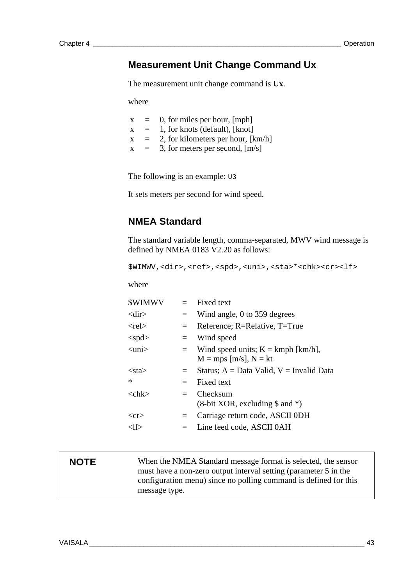## <span id="page-42-0"></span>**Measurement Unit Change Command Ux**

The measurement unit change command is **Ux**.

where

| $\boldsymbol{\mathrm{X}}$ |  |  | 0, for miles per hour, [mph] |  |  |
|---------------------------|--|--|------------------------------|--|--|
|---------------------------|--|--|------------------------------|--|--|

- $x = 1$ , for knots (default), [knot]
- $x = 2$ , for kilometers per hour, [km/h]
- $x = 3$ , for meters per second,  $[m/s]$

The following is an example:  $\text{U3}$ 

It sets meters per second for wind speed.

## **NMEA Standard**

The standard variable length, comma-separated, MWV wind message is defined by NMEA 0183 V2.20 as follows:

\$WIMWV,<dir>,<ref>,<spd>,<uni>,<sta>\*<chk><cr><lf>

where

| <b><i>SWIMWV</i></b>    | $=$ | Fixed text                                 |
|-------------------------|-----|--------------------------------------------|
| $\langle$ dir $\rangle$ | $=$ | Wind angle, 0 to 359 degrees               |
| $<$ ref $>$             | $=$ | Reference; R=Relative, T=True              |
| $<$ spd $>$             | $=$ | Wind speed                                 |
| $\langle$ uni $>$       | $=$ | Wind speed units; $K = k mph$ [km/h],      |
|                         |     | $M = mps$ [m/s], $N = kt$                  |
| <sta></sta>             | $=$ | Status; $A = Data Valid, V = invalid Data$ |
| $\ast$                  | $=$ | Fixed text                                 |
| $<$ chk $>$             | $=$ | Checksum                                   |
|                         |     | $(8-bit XOR, excluding $ and $^*)$         |
| $<$ cr $>$              | $=$ | Carriage return code, ASCII 0DH            |
| <lf></lf>               | $=$ | Line feed code, ASCII 0AH                  |

**NOTE** When the NMEA Standard message format is selected, the sensor must have a non-zero output interval setting (parameter 5 in the configuration menu) since no polling command is defined for this message type.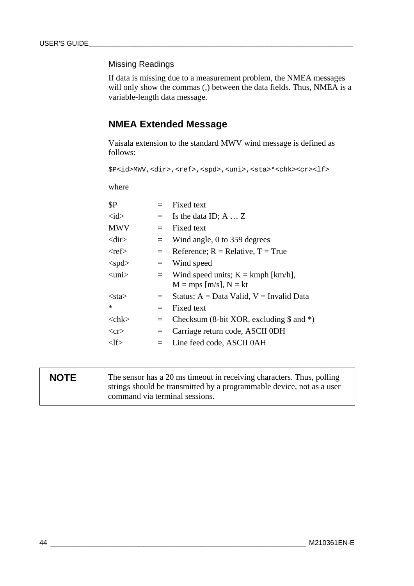#### Missing Readings

If data is missing due to a measurement problem, the NMEA messages will only show the commas (,) between the data fields. Thus, NMEA is a variable-length data message.

## **NMEA Extended Message**

Vaisala extension to the standard MWV wind message is defined as follows:

\$P<id>MWV,<dir>,<ref>,<spd>,<uni>,<sta>\*<chk><cr><lf>

where

| \$P\$                   |          | Fixed text                                                         |
|-------------------------|----------|--------------------------------------------------------------------|
| $\langle$ id $\rangle$  | $=$      | Is the data ID; $A \ldots Z$                                       |
| <b>MWV</b>              | $=$      | Fixed text                                                         |
| $\langle$ dir $\rangle$ | $=$      | Wind angle, 0 to 359 degrees                                       |
| $<$ ref $>$             | $=$      | Reference; $R =$ Relative, $T =$ True                              |
| $<$ spd $>$             | $=$ $-$  | Wind speed                                                         |
| $\langle$ uni $\rangle$ | $=$      | Wind speed units; $K = k mph$ [km/h],<br>$M = mps$ [m/s], $N = kt$ |
| $<$ sta $>$             | $=$      | Status; $A = Data Valid, V = invalid Data$                         |
| *                       | $=$      | Fixed text                                                         |
| $<$ chk $>$             | $\equiv$ | Checksum (8-bit XOR, excluding $\$ and $\ast$ )                    |
| $<$ cr $>$              | $=$      | Carriage return code, ASCII 0DH                                    |
| <lf></lf>               | $=$      | Line feed code, ASCII 0AH                                          |
|                         |          |                                                                    |

### **NOTE** The sensor has a 20 ms timeout in receiving characters. Thus, polling strings should be transmitted by a programmable device, not as a user command via terminal sessions.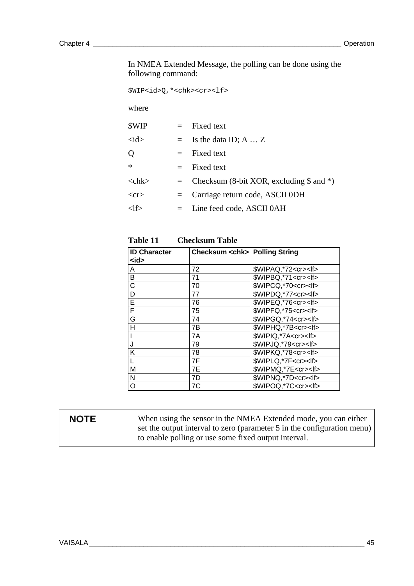In NMEA Extended Message, the polling can be done using the following command:

\$WIP<id>Q,\*<chk><cr><lf>

where

| \$WIP                  | $=$ Fixed text                               |
|------------------------|----------------------------------------------|
| $\langle$ id $\rangle$ | $=$ Is the data ID; A  Z                     |
| Q                      | $=$ Fixed text                               |
| $\ast$                 | $=$ Fixed text                               |
| $<$ chk $>$            | $=$ Checksum (8-bit XOR, excluding \$ and *) |
| $<$ cr $>$             | $=$ Carriage return code, ASCII 0DH          |
| <lf></lf>              | $=$ Line feed code, ASCII 0AH                |

| <b>ID Character</b><br><id></id> | <b>Checksum <chk> Polling String</chk></b> |                                |
|----------------------------------|--------------------------------------------|--------------------------------|
| A                                | 72                                         | \$WIPAQ,*72 <cr><lf></lf></cr> |
| В                                | 71                                         | \$WIPBQ,*71 <cr><lf></lf></cr> |
| $\overline{C}$                   | 70                                         | \$WIPCQ,*70 <cr><lf></lf></cr> |
| D                                | 77                                         | \$WIPDQ,*77 <cr><lf></lf></cr> |
| E                                | 76                                         | \$WIPEQ,*76 <cr><lf></lf></cr> |
| F                                | 75                                         | \$WIPFQ,*75 <cr><lf></lf></cr> |
| G                                | 74                                         | \$WIPGQ,*74 <cr><lf></lf></cr> |
| H                                | 7B                                         | \$WIPHQ,*7B <cr><lf></lf></cr> |
|                                  | 7A                                         | \$WIPIQ,*7A <cr><lf></lf></cr> |
| J                                | 79                                         | \$WIPJQ,*79 <cr><lf></lf></cr> |
| Κ                                | 78                                         | \$WIPKQ,*78 <cr><lf></lf></cr> |
| L                                | 7F                                         | \$WIPLQ,*7F <cr><lf></lf></cr> |
| M                                | 7E                                         | \$WIPMQ,*7E <cr><lf></lf></cr> |
| N                                | 7D                                         | \$WIPNQ,*7D <cr><lf></lf></cr> |
| O                                | 7C                                         | \$WIPOQ,*7C <cr><lf></lf></cr> |

**NOTE** When using the sensor in the NMEA Extended mode, you can either set the output interval to zero (parameter 5 in the configuration menu) to enable polling or use some fixed output interval.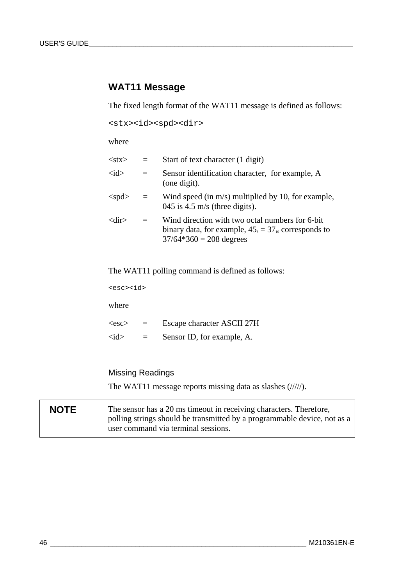## **WAT11 Message**

The fixed length format of the WAT11 message is defined as follows:

<stx><id><spd><dir>

where

| $<$ stx $>$             | $=$      | Start of text character (1 digit)                                                                                                         |
|-------------------------|----------|-------------------------------------------------------------------------------------------------------------------------------------------|
| $\langle$ id $\rangle$  | $=$      | Sensor identification character, for example, A<br>(one digit).                                                                           |
| $<$ spd $>$             | $\equiv$ | Wind speed (in $m/s$ ) multiplied by 10, for example,<br>045 is 4.5 m/s (three digits).                                                   |
| $\langle$ dir $\rangle$ | $=$      | Wind direction with two octal numbers for 6-bit<br>binary data, for example, $45_s = 37_{10}$ corresponds to<br>$37/64*360 = 208$ degrees |

The WAT11 polling command is defined as follows:

| <esc><id></id></esc>   |          |                            |
|------------------------|----------|----------------------------|
| where                  |          |                            |
| $<$ esc $>$            | $\equiv$ | Escape character ASCII 27H |
| $\langle$ id $\rangle$ | $=$ $-$  | Sensor ID, for example, A. |

Missing Readings

The WAT11 message reports missing data as slashes (/////).

**NOTE** The sensor has a 20 ms timeout in receiving characters. Therefore, polling strings should be transmitted by a programmable device, not as a user command via terminal sessions.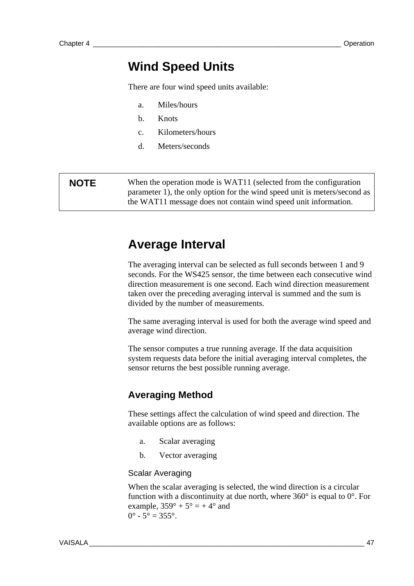## **Wind Speed Units**

There are four wind speed units available:

- a. Miles/hours
- b. Knots
- c. Kilometers/hours
- d. Meters/seconds

<span id="page-46-0"></span>**NOTE** When the operation mode is WAT11 (selected from the configuration parameter 1), the only option for the wind speed unit is meters/second as the WAT11 message does not contain wind speed unit information.

## **Average Interval**

The averaging interval can be selected as full seconds between 1 and 9 seconds. For the WS425 sensor, the time between each consecutive wind direction measurement is one second. Each wind direction measurement taken over the preceding averaging interval is summed and the sum is divided by the number of measurements.

The same averaging interval is used for both the average wind speed and average wind direction.

The sensor computes a true running average. If the data acquisition system requests data before the initial averaging interval completes, the sensor returns the best possible running average.

## **Averaging Method**

These settings affect the calculation of wind speed and direction. The available options are as follows:

- a. Scalar averaging
- b. Vector averaging

#### Scalar Averaging

When the scalar averaging is selected, the wind direction is a circular function with a discontinuity at due north, where  $360^{\circ}$  is equal to  $0^{\circ}$ . For example,  $359^\circ + 5^\circ = +4^\circ$  and  $0^{\circ}$  - 5 $^{\circ}$  = 355 $^{\circ}$ .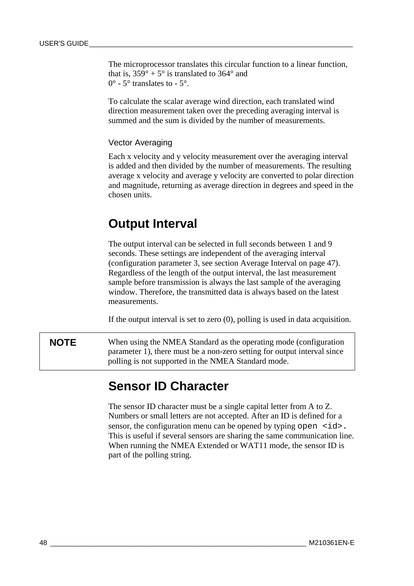The microprocessor translates this circular function to a linear function, that is,  $359^{\circ} + 5^{\circ}$  is translated to  $364^{\circ}$  and  $0^\circ$  - 5 $^\circ$  translates to - 5 $^\circ$ .

To calculate the scalar average wind direction, each translated wind direction measurement taken over the preceding averaging interval is summed and the sum is divided by the number of measurements.

#### Vector Averaging

Each x velocity and y velocity measurement over the averaging interval is added and then divided by the number of measurements. The resulting average x velocity and average y velocity are converted to polar direction and magnitude, returning as average direction in degrees and speed in the chosen units.

## **Output Interval**

The output interval can be selected in full seconds between 1 and 9 seconds. These settings are independent of the averaging interval (configuration parameter 3, see section [Average Interval on pa](#page-46-0)ge 47). Regardless of the length of the output interval, the last measurement sample before transmission is always the last sample of the averaging window. Therefore, the transmitted data is always based on the latest measurements.

If the output interval is set to zero (0), polling is used in data acquisition.

**NOTE** When using the NMEA Standard as the operating mode (configuration parameter 1), there must be a non-zero setting for output interval since polling is not supported in the NMEA Standard mode.

## **Sensor ID Character**

The sensor ID character must be a single capital letter from A to Z. Numbers or small letters are not accepted. After an ID is defined for a sensor, the configuration menu can be opened by typing open  $\langle id \rangle$ . This is useful if several sensors are sharing the same communication line. When running the NMEA Extended or WAT11 mode, the sensor ID is part of the polling string.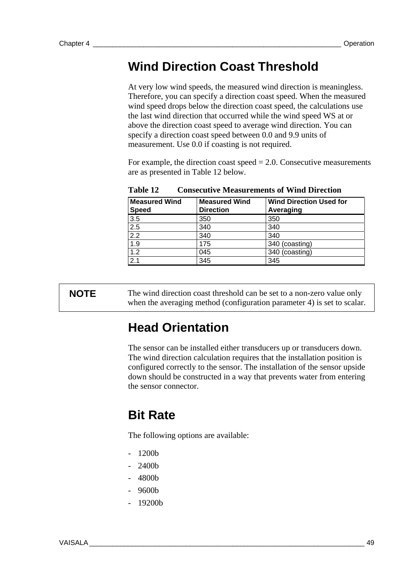# **Wind Direction Coast Threshold**

At very low wind speeds, the measured wind direction is meaningless. Therefore, you can specify a direction coast speed. When the measured wind speed drops below the direction coast speed, the calculations use the last wind direction that occurred while the wind speed WS at or above the direction coast speed to average wind direction. You can specify a direction coast speed between 0.0 and 9.9 units of measurement. Use 0.0 if coasting is not required.

For example, the direction coast speed  $= 2.0$ . Consecutive measurements are as presented in [Table 12 below.](#page-48-0)

| <b>Measured Wind</b><br><b>Speed</b> | <b>Measured Wind</b><br><b>Direction</b> | <b>Wind Direction Used for</b><br>Averaging |
|--------------------------------------|------------------------------------------|---------------------------------------------|
| $\overline{3.5}$                     | 350                                      | 350                                         |
| 2.5                                  | 340                                      | 340                                         |
| $\overline{2.2}$                     | 340                                      | 340                                         |
| 1.9                                  | 175                                      | 340 (coasting)                              |
| 1.2                                  | 045                                      | 340 (coasting)                              |
| 2 <sub>1</sub>                       | 345                                      | 345                                         |

**Table 12 Consecutive Measurements of Wind Direction** 

<span id="page-48-0"></span>**NOTE** The wind direction coast threshold can be set to a non-zero value only when the averaging method (configuration parameter 4) is set to scalar.

# **Head Orientation**

The sensor can be installed either transducers up or transducers down. The wind direction calculation requires that the installation position is configured correctly to the sensor. The installation of the sensor upside down should be constructed in a way that prevents water from entering the sensor connector.

# **Bit Rate**

The following options are available:

- 1200b
- 2400b
- 4800b
- 9600b
- 19200b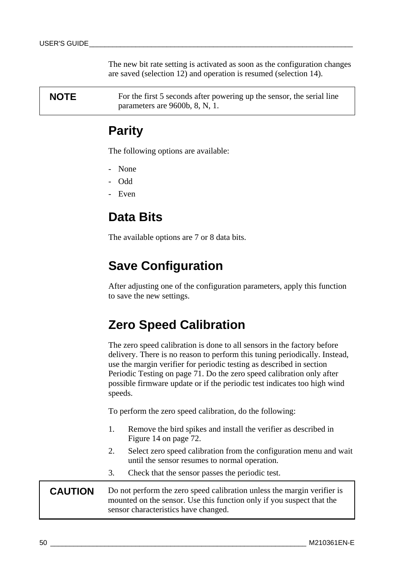The new bit rate setting is activated as soon as the configuration changes are saved (selection 12) and operation is resumed (selection 14).

**NOTE** For the first 5 seconds after powering up the sensor, the serial line parameters are 9600b, 8, N, 1.

# **Parity**

The following options are available:

- None
- Odd
- Even

# **Data Bits**

The available options are 7 or 8 data bits.

# **Save Configuration**

After adjusting one of the configuration parameters, apply this function to save the new settings.

# **Zero Speed Calibration**

The zero speed calibration is done to all sensors in the factory before delivery. There is no reason to perform this tuning periodically. Instead, use the margin verifier for periodic testing as described in section [Periodic Testing on pa](#page-70-0)ge 71. Do the zero speed calibration only after possible firmware update or if the periodic test indicates too high wind speeds.

To perform the zero speed calibration, do the following:

- 1. Remove the bird spikes and install the verifier as described in [Figure 14 on pag](#page-71-0)e 72.
- 2. Select zero speed calibration from the configuration menu and wait until the sensor resumes to normal operation.
- 3. Check that the sensor passes the periodic test.

**CAUTION** Do not perform the zero speed calibration unless the margin verifier is mounted on the sensor. Use this function only if you suspect that the sensor characteristics have changed.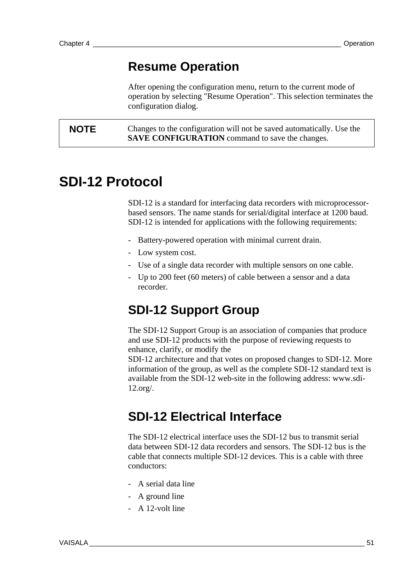## **Resume Operation**

After opening the configuration menu, return to the current mode of operation by selecting "Resume Operation". This selection terminates the configuration dialog.

**NOTE** Changes to the configuration will not be saved automatically. Use the **SAVE CONFIGURATION** command to save the changes.

# **SDI-12 Protocol**

SDI-12 is a standard for interfacing data recorders with microprocessorbased sensors. The name stands for serial/digital interface at 1200 baud. SDI-12 is intended for applications with the following requirements:

- Battery-powered operation with minimal current drain.
- Low system cost.
- Use of a single data recorder with multiple sensors on one cable.
- Up to 200 feet (60 meters) of cable between a sensor and a data recorder.

## **SDI-12 Support Group**

The SDI-12 Support Group is an association of companies that produce and use SDI-12 products with the purpose of reviewing requests to enhance, clarify, or modify the

SDI-12 architecture and that votes on proposed changes to SDI-12. More information of the group, as well as the complete SDI-12 standard text is available from the SDI-12 web-site in the following address: www.sdi-12.org/.

## **SDI-12 Electrical Interface**

The SDI-12 electrical interface uses the SDI-12 bus to transmit serial data between SDI-12 data recorders and sensors. The SDI-12 bus is the cable that connects multiple SDI-12 devices. This is a cable with three conductors:

- A serial data line
- A ground line
- A 12-volt line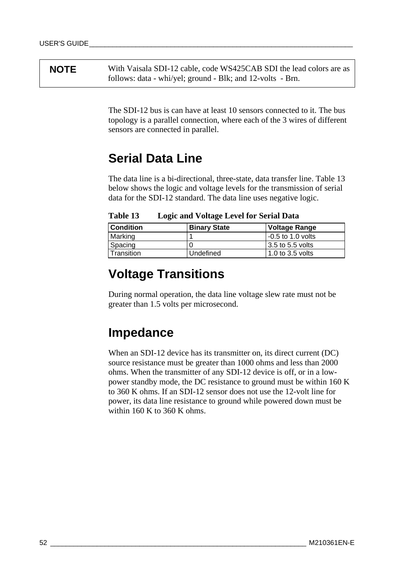**NOTE** With Vaisala SDI-12 cable, code WS425CAB SDI the lead colors are as follows: data - whi/yel; ground - Blk; and 12-volts - Brn.

> The SDI-12 bus is can have at least 10 sensors connected to it. The bus topology is a parallel connection, where each of the 3 wires of different sensors are connected in parallel.

# **Serial Data Line**

The data line is a bi-directional, three-state, data transfer line. [Table 13](#page-51-0)  [below](#page-51-0) shows the logic and voltage levels for the transmission of serial data for the SDI-12 standard. The data line uses negative logic.

**Table 13 Logic and Voltage Level for Serial Data** 

<span id="page-51-0"></span>

| <b>Condition</b> | <b>Binary State</b> | Voltage Range       |
|------------------|---------------------|---------------------|
| Marking          |                     | l -0.5 to 1.0 volts |
| Spacing          |                     | 13.5 to 5.5 volts   |
| Transition       | Undefined           | 1.0 to 3.5 volts    |

# **Voltage Transitions**

During normal operation, the data line voltage slew rate must not be greater than 1.5 volts per microsecond.

## **Impedance**

When an SDI-12 device has its transmitter on, its direct current (DC) source resistance must be greater than 1000 ohms and less than 2000 ohms. When the transmitter of any SDI-12 device is off, or in a lowpower standby mode, the DC resistance to ground must be within 160 K to 360 K ohms. If an SDI-12 sensor does not use the 12-volt line for power, its data line resistance to ground while powered down must be within 160 K to 360 K ohms.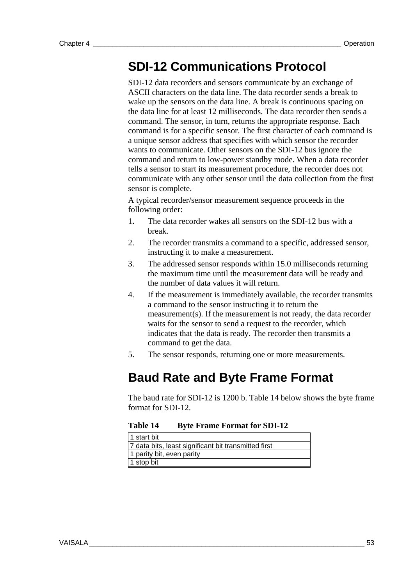# **SDI-12 Communications Protocol**

SDI-12 data recorders and sensors communicate by an exchange of ASCII characters on the data line. The data recorder sends a break to wake up the sensors on the data line. A break is continuous spacing on the data line for at least 12 milliseconds. The data recorder then sends a command. The sensor, in turn, returns the appropriate response. Each command is for a specific sensor. The first character of each command is a unique sensor address that specifies with which sensor the recorder wants to communicate. Other sensors on the SDI-12 bus ignore the command and return to low-power standby mode. When a data recorder tells a sensor to start its measurement procedure, the recorder does not communicate with any other sensor until the data collection from the first sensor is complete.

A typical recorder/sensor measurement sequence proceeds in the following order:

- 1**.** The data recorder wakes all sensors on the SDI-12 bus with a break.
- 2. The recorder transmits a command to a specific, addressed sensor, instructing it to make a measurement.
- 3. The addressed sensor responds within 15.0 milliseconds returning the maximum time until the measurement data will be ready and the number of data values it will return.
- 4. If the measurement is immediately available, the recorder transmits a command to the sensor instructing it to return the measurement(s). If the measurement is not ready, the data recorder waits for the sensor to send a request to the recorder, which indicates that the data is ready. The recorder then transmits a command to get the data.
- 5. The sensor responds, returning one or more measurements.

# **Baud Rate and Byte Frame Format**

The baud rate for SDI-12 is 1200 b. [Table 14 below](#page-52-0) shows the byte frame format for SDI-12.

<span id="page-52-0"></span>

| Table 14 | <b>Byte Frame Format for SDI-12</b> |  |
|----------|-------------------------------------|--|
|----------|-------------------------------------|--|

| 1 start bit                                          |
|------------------------------------------------------|
| 7 data bits, least significant bit transmitted first |
| 1 parity bit, even parity                            |
| 1 stop bit                                           |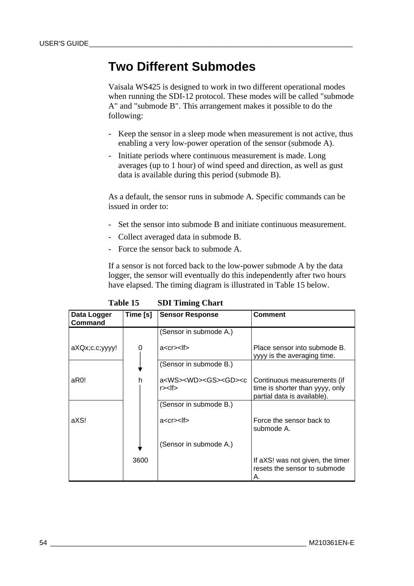# **Two Different Submodes**

Vaisala WS425 is designed to work in two different operational modes when running the SDI-12 protocol. These modes will be called "submode A" and "submode B". This arrangement makes it possible to do the following:

- Keep the sensor in a sleep mode when measurement is not active, thus enabling a very low-power operation of the sensor (submode A).
- Initiate periods where continuous measurement is made. Long averages (up to 1 hour) of wind speed and direction, as well as gust data is available during this period (submode B).

As a default, the sensor runs in submode A. Specific commands can be issued in order to:

- Set the sensor into submode B and initiate continuous measurement.
- Collect averaged data in submode B.
- Force the sensor back to submode A.

If a sensor is not forced back to the low-power submode A by the data logger, the sensor will eventually do this independently after two hours have elapsed. The timing diagram is illustrated in [Table 15 below.](#page-53-0)

<span id="page-53-0"></span>

| Data Logger    | Time [s] | <b>Sensor Response</b>                                                                                               | <b>Comment</b>                                                                                |
|----------------|----------|----------------------------------------------------------------------------------------------------------------------|-----------------------------------------------------------------------------------------------|
| Command        |          |                                                                                                                      |                                                                                               |
|                |          | (Sensor in submode A.)                                                                                               |                                                                                               |
| aXQx;c.c;yyyy! | O        | a <cr><lf></lf></cr>                                                                                                 | Place sensor into submode B.<br>yyyy is the averaging time.                                   |
|                |          | (Sensor in submode B.)                                                                                               |                                                                                               |
| aR0!           | h        | a <ws><wd><gs><gd><c<br><math>r</math> <math>&gt;</math> <math>\leq</math> <math>r</math></c<br></gd></gs></wd></ws> | Continuous measurements (if<br>time is shorter than yyyy, only<br>partial data is available). |
|                |          | (Sensor in submode B.)                                                                                               |                                                                                               |
| aXS!           |          | $acr$ $>$ $ f$                                                                                                       | Force the sensor back to<br>submode A.                                                        |
|                |          | (Sensor in submode A.)                                                                                               |                                                                                               |
|                | 3600     |                                                                                                                      | If aXS! was not given, the timer<br>resets the sensor to submode<br>Α.                        |

**Table 15 SDI Timing Chart**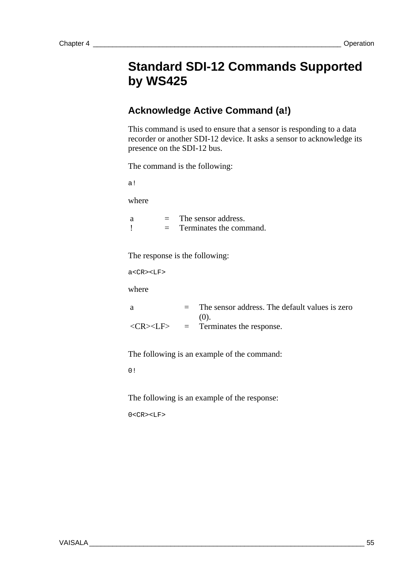# **Standard SDI-12 Commands Supported by WS425**

## **Acknowledge Active Command (a!)**

This command is used to ensure that a sensor is responding to a data recorder or another SDI-12 device. It asks a sensor to acknowledge its presence on the SDI-12 bus.

The command is the following:

a!

where

| - 2 | $=$     | The sensor address.     |
|-----|---------|-------------------------|
|     | $=$ $-$ | Terminates the command. |

The response is the following:

a<CR><LF>

where

| a | $=$ The sensor address. The default values is zero                 |
|---|--------------------------------------------------------------------|
|   | (0).                                                               |
|   | $\langle CR \rangle \langle LF \rangle$ = Terminates the response. |

The following is an example of the command:

0!

The following is an example of the response:

 $0 < CR$  $>$  $LF$  $>$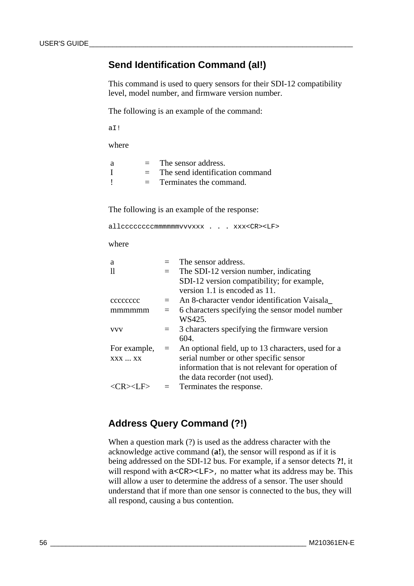## **Send Identification Command (aI!)**

This command is used to query sensors for their SDI-12 compatibility level, model number, and firmware version number.

The following is an example of the command:

aI!

where

| - a | $=$ The sensor address.             |
|-----|-------------------------------------|
|     | $=$ The send identification command |
|     | $=$ Terminates the command.         |

The following is an example of the response:

allccccccccmmmmmmvvvxxx . . . xxx<CR><LF>

where

| a               |     | The sensor address.                                |
|-----------------|-----|----------------------------------------------------|
| 11              | $=$ | The SDI-12 version number, indicating              |
|                 |     | SDI-12 version compatibility; for example,         |
|                 |     | version 1.1 is encoded as 11.                      |
| <b>CCCCCCCC</b> |     | An 8-character vendor identification Vaisala       |
| mmmmmm          | $=$ | 6 characters specifying the sensor model number    |
|                 |     | WS425.                                             |
| <b>VVV</b>      | $=$ | 3 characters specifying the firmware version       |
|                 |     | 604.                                               |
| For example,    | $=$ | An optional field, up to 13 characters, used for a |
| <b>XXX  XX</b>  |     | serial number or other specific sensor             |
|                 |     | information that is not relevant for operation of  |
|                 |     | the data recorder (not used).                      |
|                 |     | Terminates the response.                           |

## **Address Query Command (?!)**

When a question mark (?) is used as the address character with the acknowledge active command (**a!**), the sensor will respond as if it is being addressed on the SDI-12 bus. For example, if a sensor detects **?!**, it will respond with  $a < CR$  >  $<$  LF >, no matter what its address may be. This will allow a user to determine the address of a sensor. The user should understand that if more than one sensor is connected to the bus, they will all respond, causing a bus contention.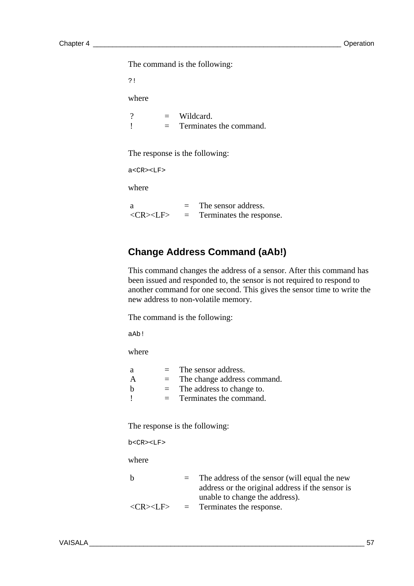The command is the following:

where

?!

 $? =$  Wildcard.  $!=$  Terminates the command.

The response is the following:

a<CR><LF>

where

a  $=$  The sensor address.  $\langle CR \rangle \langle LF \rangle$  = Terminates the response.

## **Change Address Command (aAb!)**

This command changes the address of a sensor. After this command has been issued and responded to, the sensor is not required to respond to another command for one second. This gives the sensor time to write the new address to non-volatile memory.

The command is the following:

aAb!

where

| a |     | The sensor address.         |
|---|-----|-----------------------------|
| A | $=$ | The change address command. |
| h | $=$ | The address to change to.   |
|   | $=$ | Terminates the command.     |

The response is the following:

b<CR><LF>

| $=$ The address of the sensor (will equal the new                  |
|--------------------------------------------------------------------|
| address or the original address if the sensor is                   |
| unable to change the address).                                     |
| $\langle CR \rangle \langle LF \rangle$ = Terminates the response. |
|                                                                    |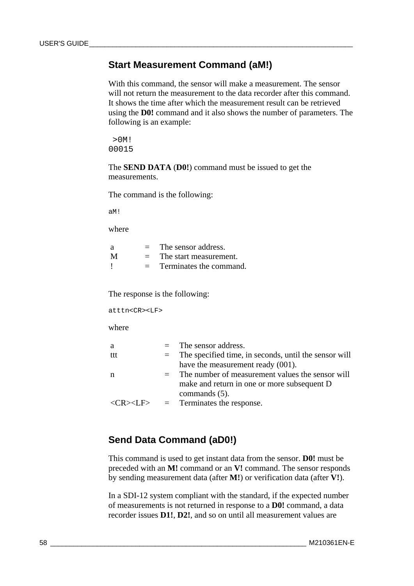## **Start Measurement Command (aM!)**

With this command, the sensor will make a measurement. The sensor will not return the measurement to the data recorder after this command. It shows the time after which the measurement result can be retrieved using the **D0!** command and it also shows the number of parameters. The following is an example:

 $>0M!$ 00015

The **SEND DATA** (**D0!**) command must be issued to get the measurements.

The command is the following:

aM!

where

| - а | $=$ $-$ | The sensor address.     |
|-----|---------|-------------------------|
| M   | $=$ $-$ | The start measurement.  |
|     | $=$ $-$ | Terminates the command. |

The response is the following:

```
atttn<CR><LF>
```
where

| a   | $=$ The sensor address.                                            |
|-----|--------------------------------------------------------------------|
| ttt | $=$ The specified time, in seconds, until the sensor will          |
|     | have the measurement ready (001).                                  |
| n   | $=$ The number of measurement values the sensor will               |
|     | make and return in one or more subsequent D                        |
|     | commands $(5)$ .                                                   |
|     | $\langle CR \rangle \langle LF \rangle$ = Terminates the response. |
|     |                                                                    |

## **Send Data Command (aD0!)**

This command is used to get instant data from the sensor. **D0!** must be preceded with an **M!** command or an **V!** command. The sensor responds by sending measurement data (after **M!**) or verification data (after **V!**).

In a SDI-12 system compliant with the standard, if the expected number of measurements is not returned in response to a **D0!** command, a data recorder issues **D1!**, **D2!**, and so on until all measurement values are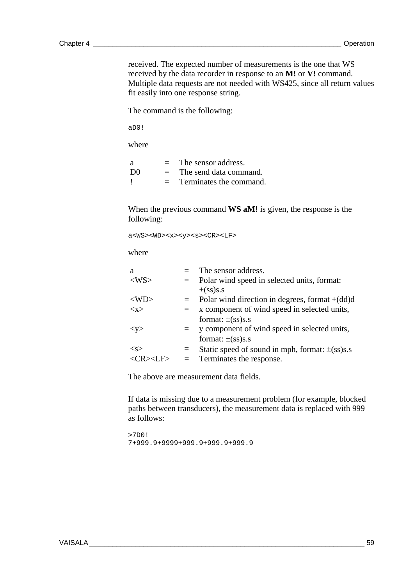received. The expected number of measurements is the one that WS received by the data recorder in response to an **M!** or **V!** command. Multiple data requests are not needed with WS425, since all return values fit easily into one response string.

The command is the following:

 $AD0!$ 

where

| - 21           | $=$ $-$ | The sensor address.     |
|----------------|---------|-------------------------|
| D <sub>0</sub> | $=$ $-$ | The send data command.  |
|                | $=$     | Terminates the command. |

When the previous command **WS aM!** is given, the response is the following:

a<WS><WD><x><y><s><CR><LF>

where

| $=$ | The sensor address.                                 |
|-----|-----------------------------------------------------|
| $=$ | Polar wind speed in selected units, format:         |
|     | $+(ss)s.s$                                          |
|     | $=$ Polar wind direction in degrees, format +(dd)d  |
| $=$ | x component of wind speed in selected units,        |
|     | format: $\pm$ (ss)s.s                               |
| $=$ | y component of wind speed in selected units,        |
|     | format: $\pm$ (ss)s.s                               |
| $=$ | Static speed of sound in mph, format: $\pm$ (ss)s.s |
|     | $=$ Terminates the response.                        |
|     |                                                     |

The above are measurement data fields.

If data is missing due to a measurement problem (for example, blocked paths between transducers), the measurement data is replaced with 999 as follows:

```
>7D0! 
7+999.9+9999+999.9+999.9+999.9
```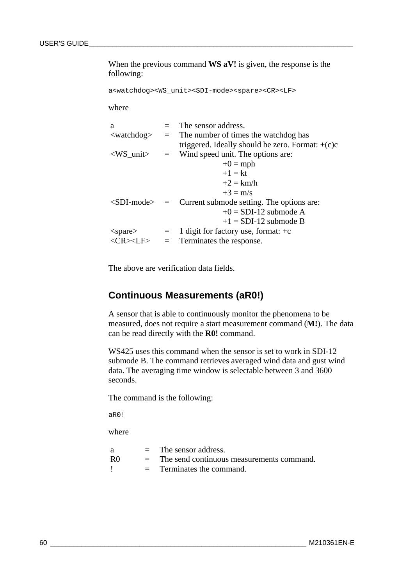When the previous command **WS aV!** is given, the response is the following:

```
a<watchdog><WS_unit><SDI-mode><spare><CR><LF>
```
where

| a                          |     | The sensor address.                                             |
|----------------------------|-----|-----------------------------------------------------------------|
| <watchdog></watchdog>      | $=$ | The number of times the watchdog has                            |
|                            |     | triggered. Ideally should be zero. Format: $+(c)c$              |
| $\langle WS\_unit \rangle$ | $=$ | Wind speed unit. The options are:                               |
|                            |     | $+0 = mph$                                                      |
|                            |     | $+1 = kt$                                                       |
|                            |     | $+2 = km/h$                                                     |
|                            |     | $+3 = m/s$                                                      |
|                            |     | $\langle$ SDI-mode> = Current submode setting. The options are: |
|                            |     | $+0$ = SDI-12 submode A                                         |
|                            |     | $+1 = SDI-12$ submode B                                         |
| $<$ spare $>$              | $=$ | 1 digit for factory use, format: $+c$                           |
| 2R > 1.5                   | $=$ | Terminates the response.                                        |

The above are verification data fields.

## **Continuous Measurements (aR0!)**

A sensor that is able to continuously monitor the phenomena to be measured, does not require a start measurement command (**M!**). The data can be read directly with the **R0!** command.

WS425 uses this command when the sensor is set to work in SDI-12 submode B. The command retrieves averaged wind data and gust wind data. The averaging time window is selectable between 3 and 3600 seconds.

The command is the following:

aR0!

| а  | $=$ The sensor address.                       |
|----|-----------------------------------------------|
| R0 | $=$ The send continuous measurements command. |
|    | $=$ Terminates the command.                   |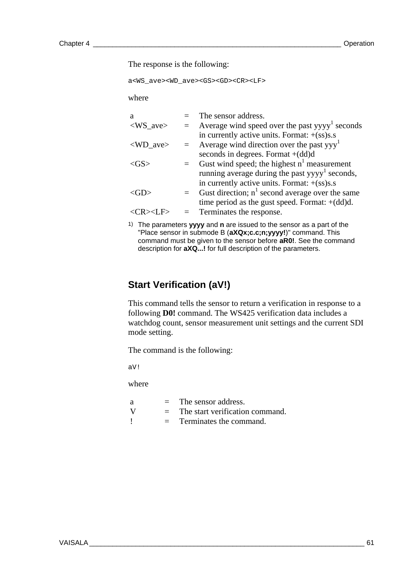The response is the following:

a<WS\_ave><WD\_ave><GS><GD><CR><LF>

where

| a                           | The sensor address.                                |
|-----------------------------|----------------------------------------------------|
| $<$ WS ave $>$              | Average wind speed over the past $yyyy'$ seconds   |
|                             | in currently active units. Format: $+(ss)s.s$      |
| $\langle$ WD ave $\rangle$  | Average wind direction over the past $yyy'$        |
|                             | seconds in degrees. Format $+(dd)d$                |
| $\langle GS \rangle$        | Gust wind speed; the highest $n^1$ measurement     |
|                             | running average during the past $yyyy1$ seconds,   |
|                             | in currently active units. Format: $+(ss)s.s$      |
| $\langle$ GD>               | Gust direction; $n^1$ second average over the same |
|                             | time period as the gust speed. Format: $+(dd)d$ .  |
| $\langle$ CR> $\langle$ LF> | Terminates the response.                           |
|                             |                                                    |

1) The parameters **yyyy** and **n** are issued to the sensor as a part of the "Place sensor in submode B (**aXQx;c.c;n;yyyy!**)" command. This command must be given to the sensor before **aR0!**. See the command description for **aXQ...!** for full description of the parameters.

## **Start Verification (aV!)**

This command tells the sensor to return a verification in response to a following **D0!** command. The WS425 verification data includes a watchdog count, sensor measurement unit settings and the current SDI mode setting.

The command is the following:

aV!

| а | $=$ $-$ | The sensor address.             |
|---|---------|---------------------------------|
| V | $=$ $-$ | The start verification command. |
|   | $=$     | Terminates the command.         |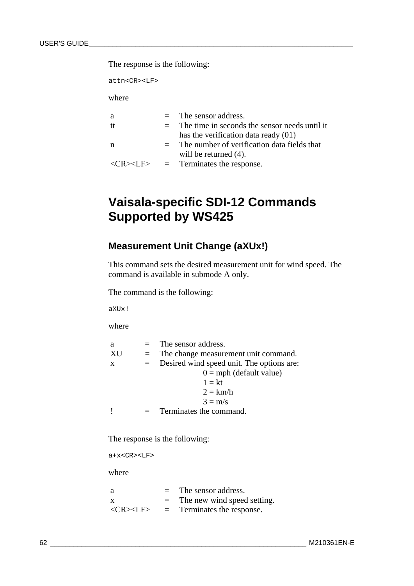The response is the following:

attn<CR><LF> where a  $=$  The sensor address. tt = The time in seconds the sensor needs until it has the verification data ready (01) n  $=$  The number of verification data fields that will be returned  $(4)$ .  $\langle CR \rangle \langle LF \rangle$  = Terminates the response.

# **Vaisala-specific SDI-12 Commands Supported by WS425**

## **Measurement Unit Change (aXUx!)**

This command sets the desired measurement unit for wind speed. The command is available in submode A only.

The command is the following:

aXUx! where a  $=$  The sensor address. XU = The change measurement unit command.  $x =$  Desired wind speed unit. The options are:  $0 =$ mph (default value)  $1 = kt$  $2 = km/h$  $3 = m/s$  $! \equiv$  Terminates the command.

The response is the following:

 $a+x < C$ R $> <$ LE $>$ 

| - 21                        | $=$ | The sensor address.             |
|-----------------------------|-----|---------------------------------|
| X                           |     | $=$ The new wind speed setting. |
| $\langle$ CR> $\langle$ LF> |     | $=$ Terminates the response.    |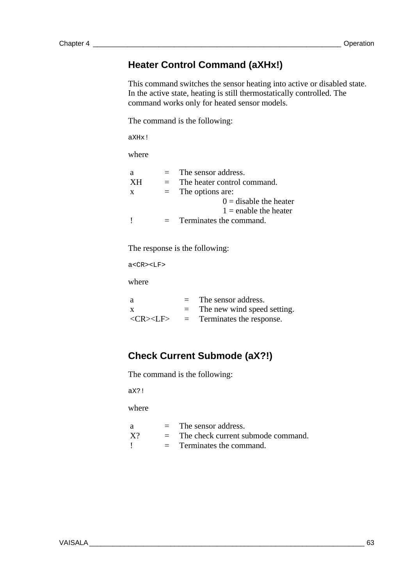## **Heater Control Command (aXHx!)**

This command switches the sensor heating into active or disabled state. In the active state, heating is still thermostatically controlled. The command works only for heated sensor models.

The command is the following:

aXHx!

where

| а  |     | $=$ The sensor address.     |
|----|-----|-----------------------------|
| XН |     | The heater control command. |
| X  |     | $=$ The options are:        |
|    |     | $0 =$ disable the heater    |
|    |     | $1$ = enable the heater     |
|    | $=$ | Terminates the command.     |

The response is the following:

```
a<CR><LF>
```
where

| - а                         | $=$ | The sensor address.             |
|-----------------------------|-----|---------------------------------|
| $\mathbf{x}$                |     | $=$ The new wind speed setting. |
| $\langle$ CR> $\langle$ LF> |     | $=$ Terminates the response.    |

## **Check Current Submode (aX?!)**

The command is the following:

aX?!

| a     | $=$ The sensor address.                |
|-------|----------------------------------------|
| $X$ ? | $=$ The check current submode command. |
|       | $=$ Terminates the command.            |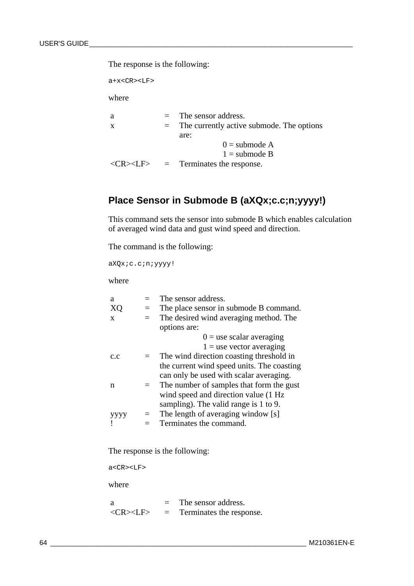The response is the following:

a+x<CR><LF> where a  $=$  The sensor address.  $x =$  The currently active submode. The options are:  $0 =$ submode A  $1 =$ submode B  $\langle CR \rangle \langle LF \rangle$  = Terminates the response.

## **Place Sensor in Submode B (aXQx;c.c;n;yyyy!)**

This command sets the sensor into submode B which enables calculation of averaged wind data and gust wind speed and direction.

The command is the following:

```
aXQx;c.c;n;yyyy!
```
where

| The sensor address.                        |
|--------------------------------------------|
| The place sensor in submode B command.     |
| The desired wind averaging method. The     |
| options are:                               |
| $0 =$ use scalar averaging                 |
| $1 =$ use vector averaging                 |
| The wind direction coasting threshold in   |
| the current wind speed units. The coasting |
| can only be used with scalar averaging.    |
| The number of samples that form the gust   |
| wind speed and direction value (1 Hz       |
| sampling). The valid range is 1 to 9.      |
| The length of averaging window [s]         |
| Terminates the command.                    |
|                                            |

The response is the following:

 $a < C$ R $> <$ L $F$  $>$ 

where

a  $=$  The sensor address.  $\langle CR \rangle \langle LF \rangle$  = Terminates the response.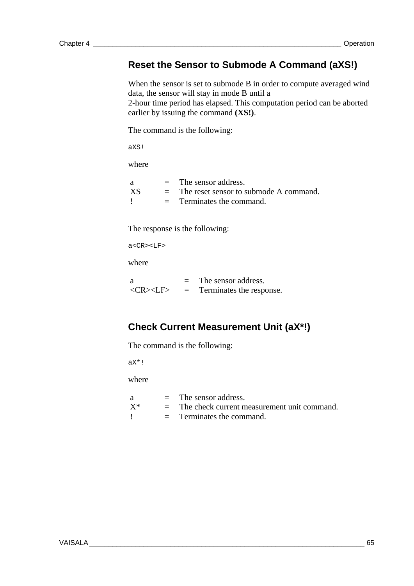## **Reset the Sensor to Submode A Command (aXS!)**

When the sensor is set to submode B in order to compute averaged wind data, the sensor will stay in mode B until a

2-hour time period has elapsed. This computation period can be aborted earlier by issuing the command **(XS!)**.

The command is the following:

```
aXS!
```
where

| а    | $=$ The sensor address.                    |
|------|--------------------------------------------|
| - XS | $=$ The reset sensor to submode A command. |
|      | $=$ Terminates the command.                |

The response is the following:

```
a<CR><LF>
```
where

| - а                         | $=$ | The sensor address.          |
|-----------------------------|-----|------------------------------|
| $\langle$ CR> $\langle$ LF> |     | $=$ Terminates the response. |

## **Check Current Measurement Unit (aX\*!)**

The command is the following:

aX\*!

| a     | $=$ The sensor address.                         |
|-------|-------------------------------------------------|
| $X^*$ | $=$ The check current measurement unit command. |
|       | $=$ Terminates the command.                     |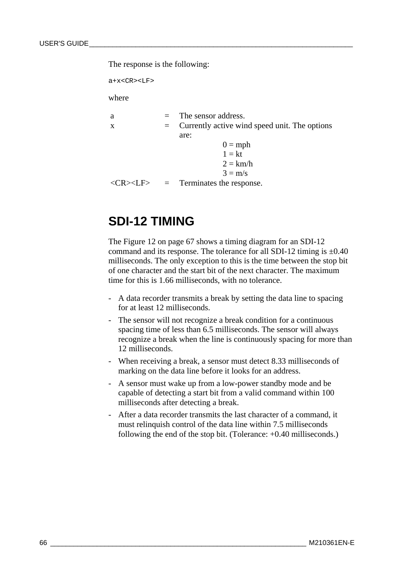The response is the following:

```
a+x<CR><LF> 
where 
a = The sensor address.
x = Currently active wind speed unit. The options
                   are: 
                              0 =mph
                               1 = kt2 = km/h3 = m/s\langle CR \rangle \langle LF \rangle = Terminates the response.
```
# **SDI-12 TIMING**

The [Figure 12](#page-66-0) on page [67](#page-66-0) shows a timing diagram for an SDI-12 command and its response. The tolerance for all SDI-12 timing is  $\pm 0.40$ milliseconds. The only exception to this is the time between the stop bit of one character and the start bit of the next character. The maximum time for this is 1.66 milliseconds, with no tolerance.

- A data recorder transmits a break by setting the data line to spacing for at least 12 milliseconds.
- The sensor will not recognize a break condition for a continuous spacing time of less than 6.5 milliseconds. The sensor will always recognize a break when the line is continuously spacing for more than 12 milliseconds.
- When receiving a break, a sensor must detect 8.33 milliseconds of marking on the data line before it looks for an address.
- A sensor must wake up from a low-power standby mode and be capable of detecting a start bit from a valid command within 100 milliseconds after detecting a break.
- After a data recorder transmits the last character of a command, it must relinquish control of the data line within 7.5 milliseconds following the end of the stop bit. (Tolerance: +0.40 milliseconds.)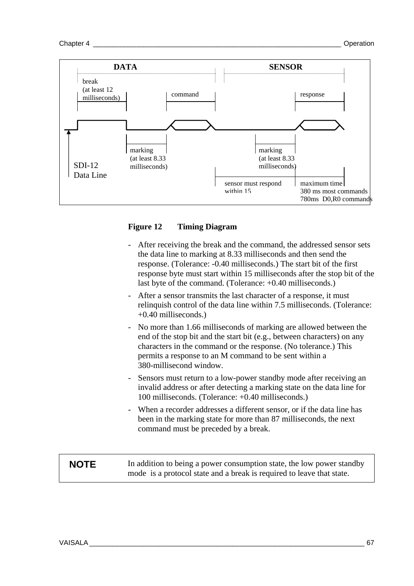

#### <span id="page-66-0"></span>**Figure 12 Timing Diagram**

- After receiving the break and the command, the addressed sensor sets the data line to marking at 8.33 milliseconds and then send the response. (Tolerance: -0.40 milliseconds.) The start bit of the first response byte must start within 15 milliseconds after the stop bit of the last byte of the command. (Tolerance: +0.40 milliseconds.)
- After a sensor transmits the last character of a response, it must relinquish control of the data line within 7.5 milliseconds. (Tolerance: +0.40 milliseconds.)
- No more than 1.66 milliseconds of marking are allowed between the end of the stop bit and the start bit (e.g., between characters) on any characters in the command or the response. (No tolerance.) This permits a response to an M command to be sent within a 380-millisecond window.
- Sensors must return to a low-power standby mode after receiving an invalid address or after detecting a marking state on the data line for 100 milliseconds. (Tolerance: +0.40 milliseconds.)
- When a recorder addresses a different sensor, or if the data line has been in the marking state for more than 87 milliseconds, the next command must be preceded by a break.

**NOTE** In addition to being a power consumption state, the low power standby mode is a protocol state and a break is required to leave that state.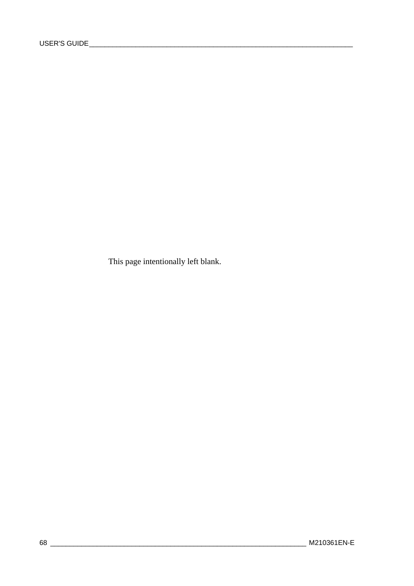This page intentionally left blank.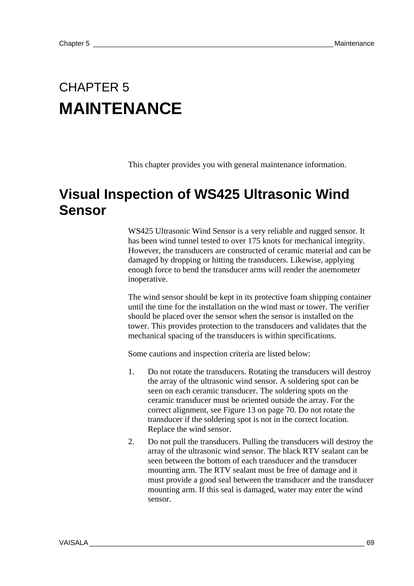# CHAPTER 5 **MAINTENANCE**

This chapter provides you with general maintenance information.

# **Visual Inspection of WS425 Ultrasonic Wind Sensor**

WS425 Ultrasonic Wind Sensor is a very reliable and rugged sensor. It has been wind tunnel tested to over 175 knots for mechanical integrity. However, the transducers are constructed of ceramic material and can be damaged by dropping or hitting the transducers. Likewise, applying enough force to bend the transducer arms will render the anemometer inoperative.

The wind sensor should be kept in its protective foam shipping container until the time for the installation on the wind mast or tower. The verifier should be placed over the sensor when the sensor is installed on the tower. This provides protection to the transducers and validates that the mechanical spacing of the transducers is within specifications.

Some cautions and inspection criteria are listed below:

- 1. Do not rotate the transducers. Rotating the transducers will destroy the array of the ultrasonic wind sensor. A soldering spot can be seen on each ceramic transducer. The soldering spots on the ceramic transducer must be oriented outside the array. For the correct alignment, see [Figure 13 on pag](#page-69-0)e 70. Do not rotate the transducer if the soldering spot is not in the correct location. Replace the wind sensor.
- 2. Do not pull the transducers. Pulling the transducers will destroy the array of the ultrasonic wind sensor. The black RTV sealant can be seen between the bottom of each transducer and the transducer mounting arm. The RTV sealant must be free of damage and it must provide a good seal between the transducer and the transducer mounting arm. If this seal is damaged, water may enter the wind sensor.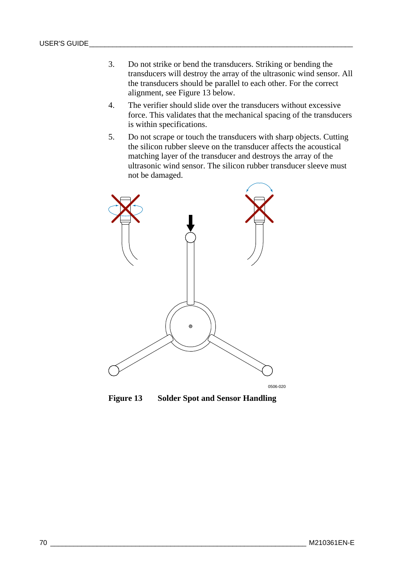- 3. Do not strike or bend the transducers. Striking or bending the transducers will destroy the array of the ultrasonic wind sensor. All the transducers should be parallel to each other. For the correct alignment, see [Figure 13 below](#page-69-0).
- 4. The verifier should slide over the transducers without excessive force. This validates that the mechanical spacing of the transducers is within specifications.
- 5. Do not scrape or touch the transducers with sharp objects. Cutting the silicon rubber sleeve on the transducer affects the acoustical matching layer of the transducer and destroys the array of the ultrasonic wind sensor. The silicon rubber transducer sleeve must not be damaged.

<span id="page-69-0"></span>

**Figure 13 Solder Spot and Sensor Handling**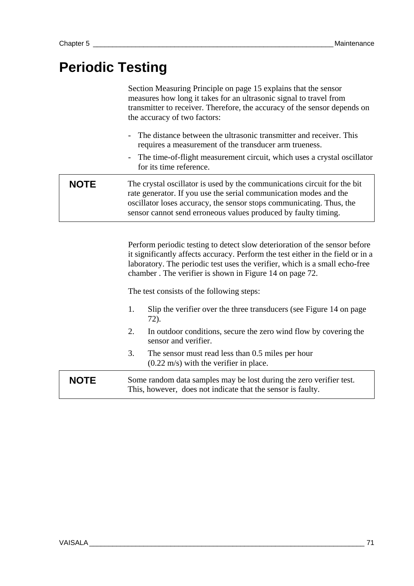# <span id="page-70-0"></span>**Periodic Testing**

Section [Measuring Principle](#page-14-0) on page [15](#page-14-0) explains that the sensor measures how long it takes for an ultrasonic signal to travel from transmitter to receiver. Therefore, the accuracy of the sensor depends on the accuracy of two factors:

- The distance between the ultrasonic transmitter and receiver. This requires a measurement of the transducer arm trueness.
- The time-of-flight measurement circuit, which uses a crystal oscillator for its time reference.

**NOTE** The crystal oscillator is used by the communications circuit for the bit rate generator. If you use the serial communication modes and the oscillator loses accuracy, the sensor stops communicating. Thus, the sensor cannot send erroneous values produced by faulty timing.

> Perform periodic testing to detect slow deterioration of the sensor before it significantly affects accuracy. Perform the test either in the field or in a laboratory. The periodic test uses the verifier, which is a small echo-free chamber . The verifier is shown in [Figure 14 on pag](#page-71-0)e 72.

The test consists of the following steps:

- 1. Slip the verifier over the three transducers (see [Figure 14 on pag](#page-71-0)e 72).
- 2. In outdoor conditions, secure the zero wind flow by covering the sensor and verifier.
- 3. The sensor must read less than 0.5 miles per hour (0.22 m/s) with the verifier in place.

**NOTE** Some random data samples may be lost during the zero verifier test. This, however, does not indicate that the sensor is faulty.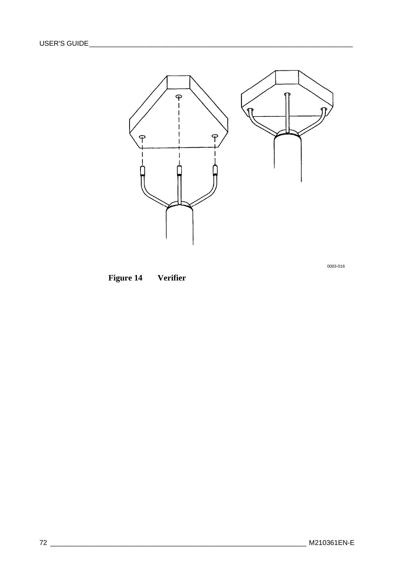

0003-016

<span id="page-71-0"></span>Figure 14 Verifier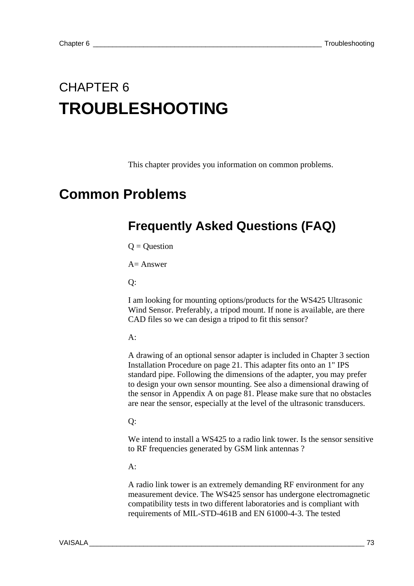# CHAPTER 6 **TROUBLESHOOTING**

This chapter provides you information on common problems.

### **Common Problems**

### **Frequently Asked Questions (FAQ)**

 $Q = Question$ 

 $A=$  Answer

Q:

I am looking for mounting options/products for the WS425 Ultrasonic Wind Sensor. Preferably, a tripod mount. If none is available, are there CAD files so we can design a tripod to fit this sensor?

#### $A$ :

A drawing of an optional sensor adapter is included in [Chapter 3](#page-20-0) section [Installation Procedure on pa](#page-20-1)ge 21. This adapter fits onto an 1" IPS standard pipe. Following the dimensions of the adapter, you may prefer to design your own sensor mounting. See also a dimensional drawing of the sensor in [Appendix A](#page-80-0) on page [81](#page-80-0). Please make sure that no obstacles are near the sensor, especially at the level of the ultrasonic transducers.

#### $Q:$

We intend to install a WS425 to a radio link tower. Is the sensor sensitive to RF frequencies generated by GSM link antennas ?

#### $A$ :

A radio link tower is an extremely demanding RF environment for any measurement device. The WS425 sensor has undergone electromagnetic compatibility tests in two different laboratories and is compliant with requirements of MIL-STD-461B and EN 61000-4-3. The tested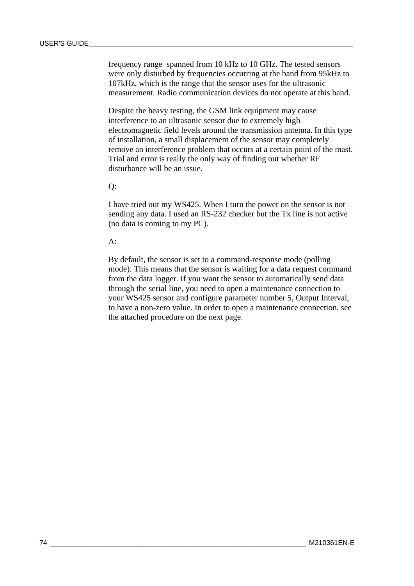frequency range spanned from 10 kHz to 10 GHz. The tested sensors were only disturbed by frequencies occurring at the band from 95kHz to 107kHz, which is the range that the sensor uses for the ultrasonic measurement. Radio communication devices do not operate at this band.

Despite the heavy testing, the GSM link equipment may cause interference to an ultrasonic sensor due to extremely high electromagnetic field levels around the transmission antenna. In this type of installation, a small displacement of the sensor may completely remove an interference problem that occurs at a certain point of the mast. Trial and error is really the only way of finding out whether RF disturbance will be an issue.

### Q:

I have tried out my WS425. When I turn the power on the sensor is not sending any data. I used an RS-232 checker but the Tx line is not active (no data is coming to my PC).

### $A$ :

By default, the sensor is set to a command-response mode (polling mode). This means that the sensor is waiting for a data request command from the data logger. If you want the sensor to automatically send data through the serial line, you need to open a maintenance connection to your WS425 sensor and configure parameter number 5, Output Interval, to have a non-zero value. In order to open a maintenance connection, see the attached procedure on the next page.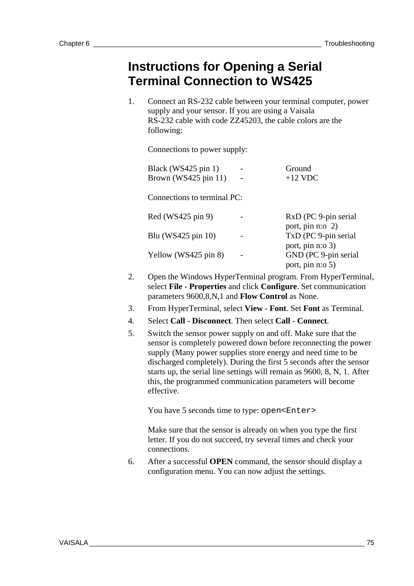### **Instructions for Opening a Serial Terminal Connection to WS425**

1. Connect an RS-232 cable between your terminal computer, power supply and your sensor. If you are using a Vaisala RS-232 cable with code ZZ45203, the cable colors are the following:

Connections to power supply:

| Black (WS425 pin 1)<br>Brown (WS425 pin 11) | Ground<br>$+12$ VDC                      |
|---------------------------------------------|------------------------------------------|
| Connections to terminal PC:                 |                                          |
| $Red$ (WS425 pin 9)                         | RxD (PC 9-pin serial<br>port, pin n:o 2) |
| Blu (WS425 pin $10$ )                       | TxD (PC 9-pin serial<br>port, pin n:o 3) |
| Yellow (WS425 pin 8)                        | GND (PC 9-pin serial<br>port, pin n:o 5) |

- 2. Open the Windows HyperTerminal program. From HyperTerminal, select **File** - **Properties** and click **Configure**. Set communication parameters 9600,8,N,1 and **Flow Control** as None.
- 3. From HyperTerminal, select **View Font**. Set **Font** as Terminal.
- 4. Select **Call Disconnect**. Then select **Call Connect**.
- 5. Switch the sensor power supply on and off. Make sure that the sensor is completely powered down before reconnecting the power supply (Many power supplies store energy and need time to be discharged completely). During the first 5 seconds after the sensor starts up, the serial line settings will remain as 9600, 8, N, 1. After this, the programmed communication parameters will become effective.

You have 5 seconds time to type: open<Enter>

Make sure that the sensor is already on when you type the first letter. If you do not succeed, try several times and check your connections.

6. After a successful **OPEN** command, the sensor should display a configuration menu. You can now adjust the settings.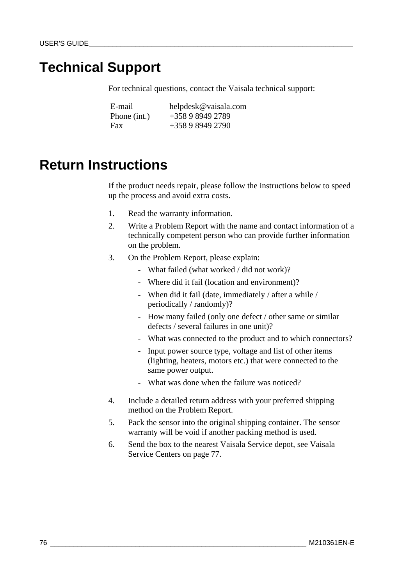### **Technical Support**

For technical questions, contact the Vaisala technical support:

| E-mail       | helpdesk@vaisala.com |
|--------------|----------------------|
| Phone (int.) | +358 9 8949 2789     |
| Fax          | $+358989492790$      |

### **Return Instructions**

If the product needs repair, please follow the instructions below to speed up the process and avoid extra costs.

- 1. Read the warranty information.
- 2. Write a Problem Report with the name and contact information of a technically competent person who can provide further information on the problem.
- 3. On the Problem Report, please explain:
	- What failed (what worked / did not work)?
	- Where did it fail (location and environment)?
	- When did it fail (date, immediately / after a while / periodically / randomly)?
	- How many failed (only one defect / other same or similar defects / several failures in one unit)?
	- What was connected to the product and to which connectors?
	- Input power source type, voltage and list of other items (lighting, heaters, motors etc.) that were connected to the same power output.
	- What was done when the failure was noticed?
- 4. Include a detailed return address with your preferred shipping method on the Problem Report.
- 5. Pack the sensor into the original shipping container. The sensor warranty will be void if another packing method is used.
- 6. Send the box to the nearest Vaisala Service depot, see [Vaisala](#page-76-0)  [Service Centers on pa](#page-76-0)ge 77.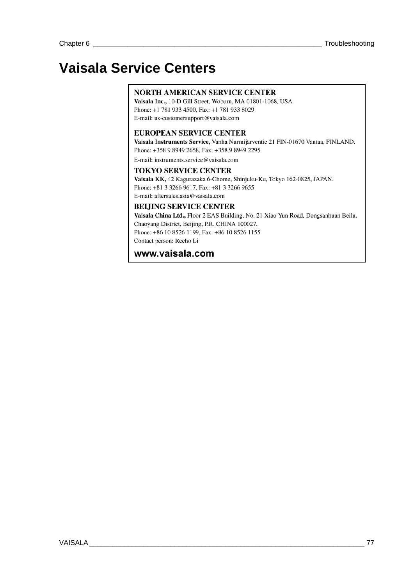### <span id="page-76-0"></span>**Vaisala Service Centers**

### **NORTH AMERICAN SERVICE CENTER**

Vaisala Inc., 10-D Gill Street, Woburn, MA 01801-1068, USA. Phone: +1 781 933 4500, Fax: +1 781 933 8029 E-mail: us-customersupport@vaisala.com

#### **EUROPEAN SERVICE CENTER**

Vaisala Instruments Service, Vanha Nurmijärventie 21 FIN-01670 Vantaa, FINLAND. Phone: +358 9 8949 2658, Fax: +358 9 8949 2295

E-mail: instruments.service@vaisala.com

#### **TOKYO SERVICE CENTER**

Vaisala KK, 42 Kagurazaka 6-Chome, Shinjuku-Ku, Tokyo 162-0825, JAPAN. Phone: +81 3 3266 9617, Fax: +81 3 3266 9655 E-mail: aftersales.asia@vaisala.com

### **BELIING SERVICE CENTER**

Vaisala China Ltd., Floor 2 EAS Building, No. 21 Xiao Yun Road, Dongsanhuan Beilu, Chaoyang District, Beijing, P.R. CHINA 100027. Phone: +86 10 8526 1199, Fax: +86 10 8526 1155 Contact person: Recho Li

### www.vaisala.com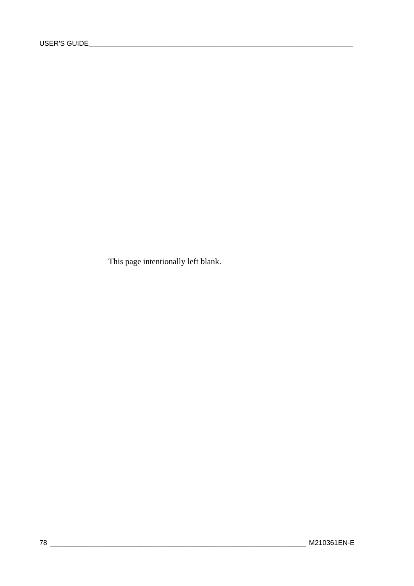This page intentionally left blank.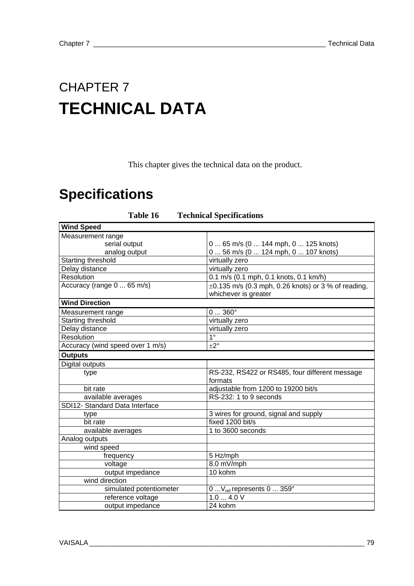# CHAPTER 7 **TECHNICAL DATA**

This chapter gives the technical data on the product.

## **Specifications**

| LAVIC LU                         | Technical opernications                                  |  |
|----------------------------------|----------------------------------------------------------|--|
| <b>Wind Speed</b>                |                                                          |  |
| Measurement range                |                                                          |  |
| serial output                    | 0  65 m/s (0  144 mph, 0  125 knots)                     |  |
| analog output                    | 0  56 m/s (0  124 mph, 0  107 knots)                     |  |
| Starting threshold               | virtually zero                                           |  |
| Delay distance                   | virtually zero                                           |  |
| Resolution                       | 0.1 m/s (0.1 mph, 0.1 knots, 0.1 km/h)                   |  |
| Accuracy (range 0  65 m/s)       | $\pm 0.135$ m/s (0.3 mph, 0.26 knots) or 3 % of reading, |  |
|                                  | whichever is greater                                     |  |
| <b>Wind Direction</b>            |                                                          |  |
| Measurement range                | $0360^{\circ}$                                           |  |
| Starting threshold               | virtually zero                                           |  |
| Delay distance                   | virtually zero                                           |  |
| Resolution                       | $1^{\circ}$                                              |  |
| Accuracy (wind speed over 1 m/s) | $\pm 2^{\circ}$                                          |  |
| <b>Outputs</b>                   |                                                          |  |
| Digital outputs                  |                                                          |  |
| type                             | RS-232, RS422 or RS485, four different message           |  |
|                                  | formats                                                  |  |
| bit rate                         | adjustable from 1200 to 19200 bit/s                      |  |
| available averages               | RS-232: 1 to 9 seconds                                   |  |
| SDI12- Standard Data Interface   |                                                          |  |
| type                             | 3 wires for ground, signal and supply                    |  |
| bit rate                         | fixed 1200 bit/s                                         |  |
| available averages               | 1 to 3600 seconds                                        |  |
| Analog outputs                   |                                                          |  |
| wind speed                       |                                                          |  |
| frequency                        | 5 Hz/mph                                                 |  |
| voltage                          | 8.0 mV/mph                                               |  |
| output impedance                 | 10 kohm                                                  |  |
| wind direction                   |                                                          |  |
| simulated potentiometer          | 0  V <sub>ref</sub> represents 0  359°                   |  |
| reference voltage                | 1.04.0V                                                  |  |
| output impedance                 | 24 kohm                                                  |  |

**Table 16 Technical Specifications**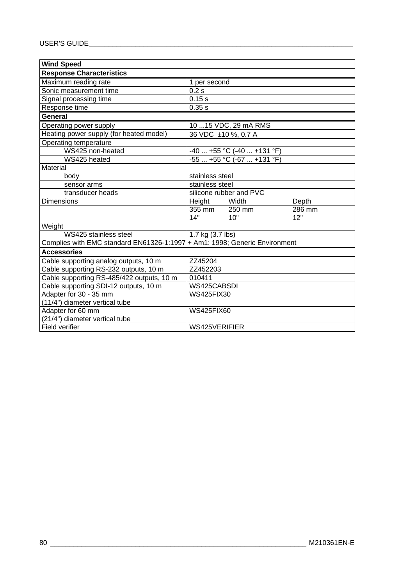| <b>Wind Speed</b>                                                          |                                               |  |  |
|----------------------------------------------------------------------------|-----------------------------------------------|--|--|
| <b>Response Characteristics</b>                                            |                                               |  |  |
| Maximum reading rate                                                       | 1 per second                                  |  |  |
| Sonic measurement time                                                     | 0.2s                                          |  |  |
| Signal processing time                                                     | 0.15s                                         |  |  |
| Response time                                                              | 0.35 s                                        |  |  |
| General                                                                    |                                               |  |  |
| Operating power supply                                                     | 10  15 VDC, 29 mA RMS                         |  |  |
| Heating power supply (for heated model)                                    | 36 VDC ±10 %, 0.7 A                           |  |  |
| Operating temperature                                                      |                                               |  |  |
| WS425 non-heated                                                           | $-40$ +55 °C (-40  +131 °F)                   |  |  |
| WS425 heated                                                               | $-55$ $+55$ °C ( $-67$ $+131$ °F)             |  |  |
| Material                                                                   |                                               |  |  |
| body                                                                       | stainless steel                               |  |  |
| sensor arms                                                                | stainless steel                               |  |  |
| transducer heads                                                           | silicone rubber and PVC                       |  |  |
| <b>Dimensions</b>                                                          | Width<br>Height<br>Depth                      |  |  |
|                                                                            | 355 mm<br>250 mm<br>286 mm                    |  |  |
|                                                                            | $\overline{14}$ "<br>10"<br>$\overline{12}$ " |  |  |
| Weight                                                                     |                                               |  |  |
| WS425 stainless steel                                                      | 1.7 kg (3.7 lbs)                              |  |  |
| Complies with EMC standard EN61326-1:1997 + Am1: 1998; Generic Environment |                                               |  |  |
| <b>Accessories</b>                                                         |                                               |  |  |
| Cable supporting analog outputs, 10 m                                      | ZZ45204                                       |  |  |
| Cable supporting RS-232 outputs, 10 m                                      | ZZ452203                                      |  |  |
| Cable supporting RS-485/422 outputs, 10 m                                  | 010411                                        |  |  |
| Cable supporting SDI-12 outputs, 10 m                                      | WS425CABSDI                                   |  |  |
| Adapter for 30 - 35 mm                                                     | <b>WS425FIX30</b>                             |  |  |
| (11/4") diameter vertical tube                                             |                                               |  |  |
| Adapter for 60 mm                                                          | <b>WS425FIX60</b>                             |  |  |
| (21/4") diameter vertical tube                                             |                                               |  |  |
| Field verifier                                                             | WS425VERIFIER                                 |  |  |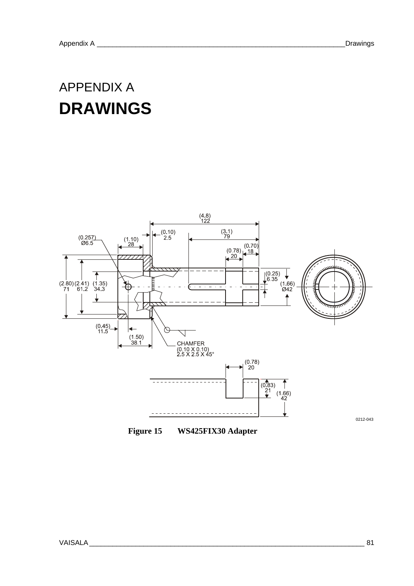# <span id="page-80-0"></span>APPENDIX A **DRAWINGS**



**Figure 15 WS425FIX30 Adapter**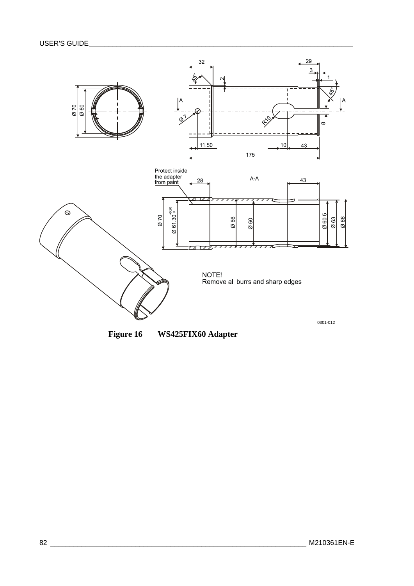

Figure 16

WS425FIX60 Adapter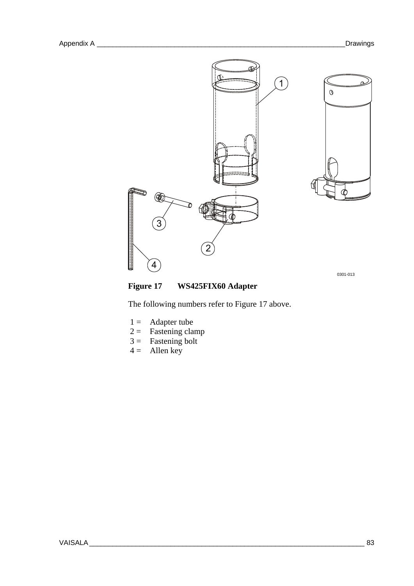

<span id="page-82-0"></span>**Figure 17 WS425FIX60 Adapter** 

The following numbers refer to [Figure 17 above.](#page-82-0)

- $1 =$  Adapter tube
- $2 =$  Fastening clamp
- $3 =$  Fastening bolt
- $4 =$  Allen key